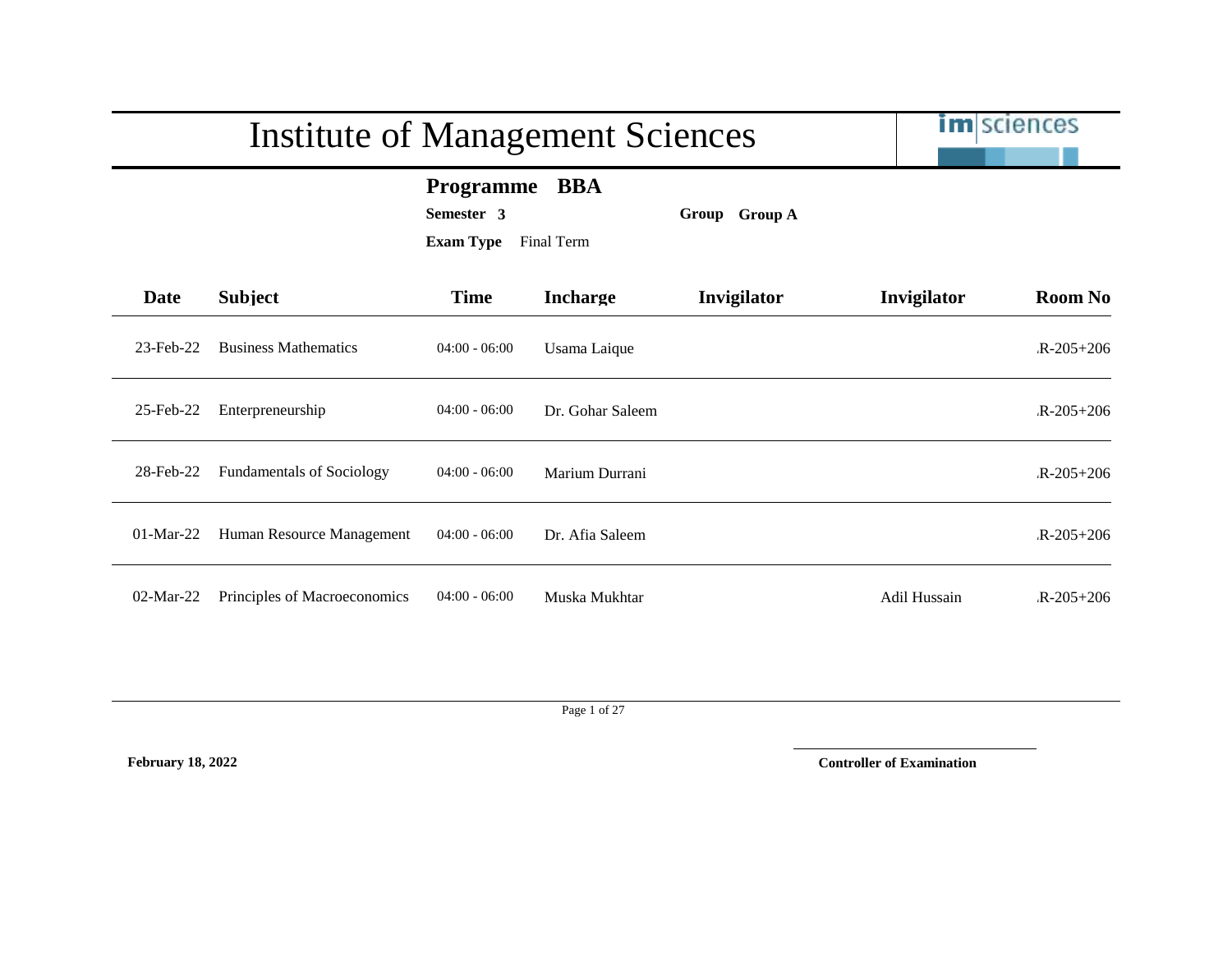|              | <b>Institute of Management Sciences</b> | <b>im</b> sciences                                                             |                  |               |              |                 |
|--------------|-----------------------------------------|--------------------------------------------------------------------------------|------------------|---------------|--------------|-----------------|
|              |                                         | <b>BBA</b><br><b>Programme</b><br>Semester 3<br><b>Exam Type</b><br>Final Term |                  | Group Group A |              |                 |
| Date         | <b>Subject</b>                          | <b>Time</b>                                                                    | <b>Incharge</b>  | Invigilator   | Invigilator  | <b>Room No</b>  |
| 23-Feb-22    | <b>Business Mathematics</b>             | $04:00 - 06:00$                                                                | Usama Laique     |               |              | $R - 205 + 206$ |
| 25-Feb-22    | Enterpreneurship                        | $04:00 - 06:00$                                                                | Dr. Gohar Saleem |               |              | $R - 205 + 206$ |
| 28-Feb-22    | <b>Fundamentals of Sociology</b>        | $04:00 - 06:00$                                                                | Marium Durrani   |               |              | $R - 205 + 206$ |
| $01-Mar-22$  | Human Resource Management               | $04:00 - 06:00$                                                                | Dr. Afia Saleem  |               |              | $R - 205 + 206$ |
| $02$ -Mar-22 | Principles of Macroeconomics            | $04:00 - 06:00$                                                                | Muska Mukhtar    |               | Adil Hussain | $R - 205 + 206$ |

Page 1 of 27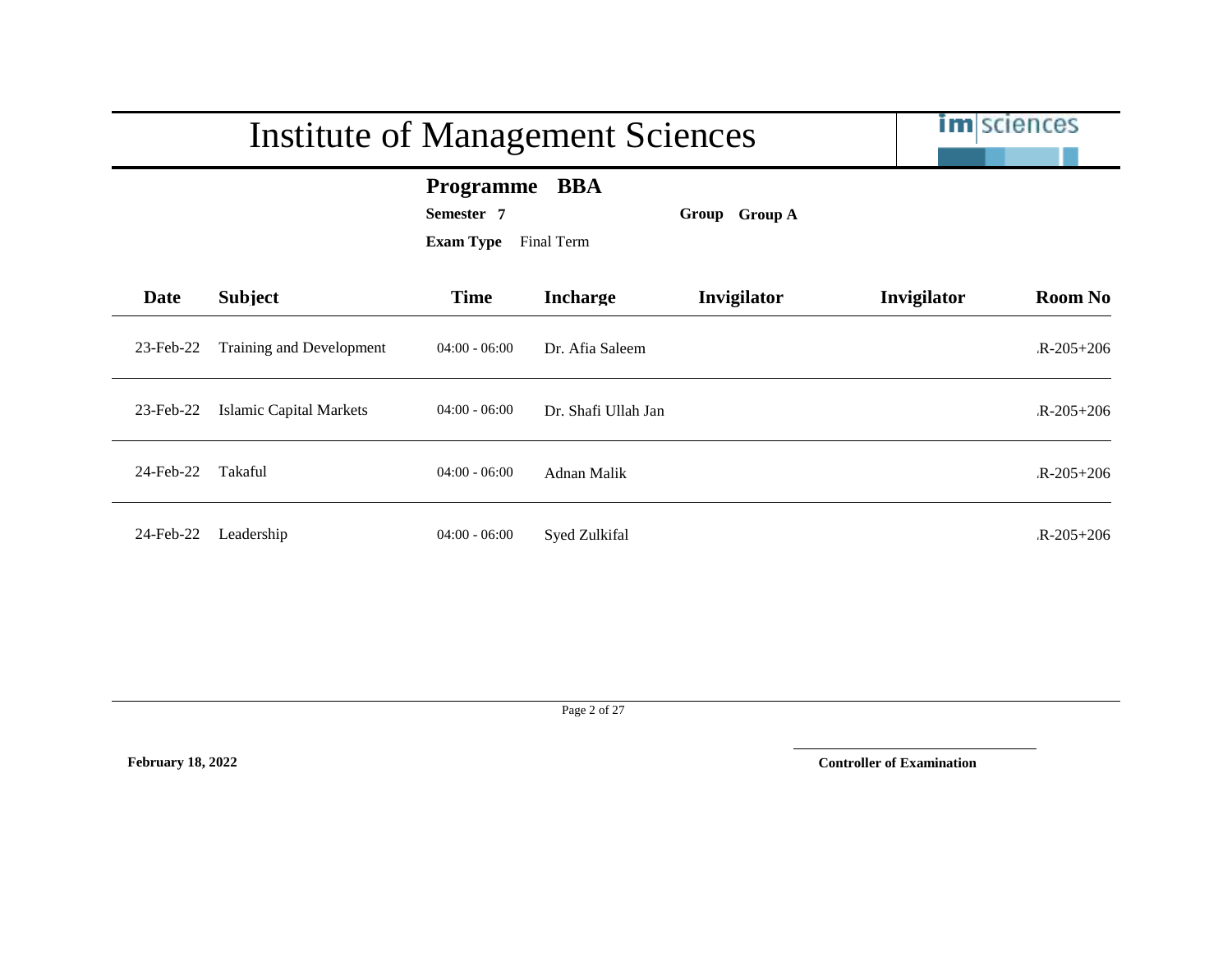|           | <b>Institute of Management Sciences</b> |                                                    |                          |               | <b>im</b> sciences |                 |
|-----------|-----------------------------------------|----------------------------------------------------|--------------------------|---------------|--------------------|-----------------|
|           |                                         | <b>Programme</b><br>Semester 7<br><b>Exam Type</b> | <b>BBA</b><br>Final Term | Group Group A |                    |                 |
| Date      | <b>Subject</b>                          | <b>Time</b>                                        | <b>Incharge</b>          | Invigilator   | Invigilator        | <b>Room No</b>  |
| 23-Feb-22 | Training and Development                | $04:00 - 06:00$                                    | Dr. Afia Saleem          |               |                    | $R - 205 + 206$ |
| 23-Feb-22 | <b>Islamic Capital Markets</b>          | $04:00 - 06:00$                                    | Dr. Shafi Ullah Jan      |               |                    | $R - 205 + 206$ |
| 24-Feb-22 | Takaful                                 | $04:00 - 06:00$                                    | Adnan Malik              |               |                    | $R - 205 + 206$ |
| 24-Feb-22 | Leadership                              | $04:00 - 06:00$                                    | Syed Zulkifal            |               |                    | $R - 205 + 206$ |

Page 2 of 27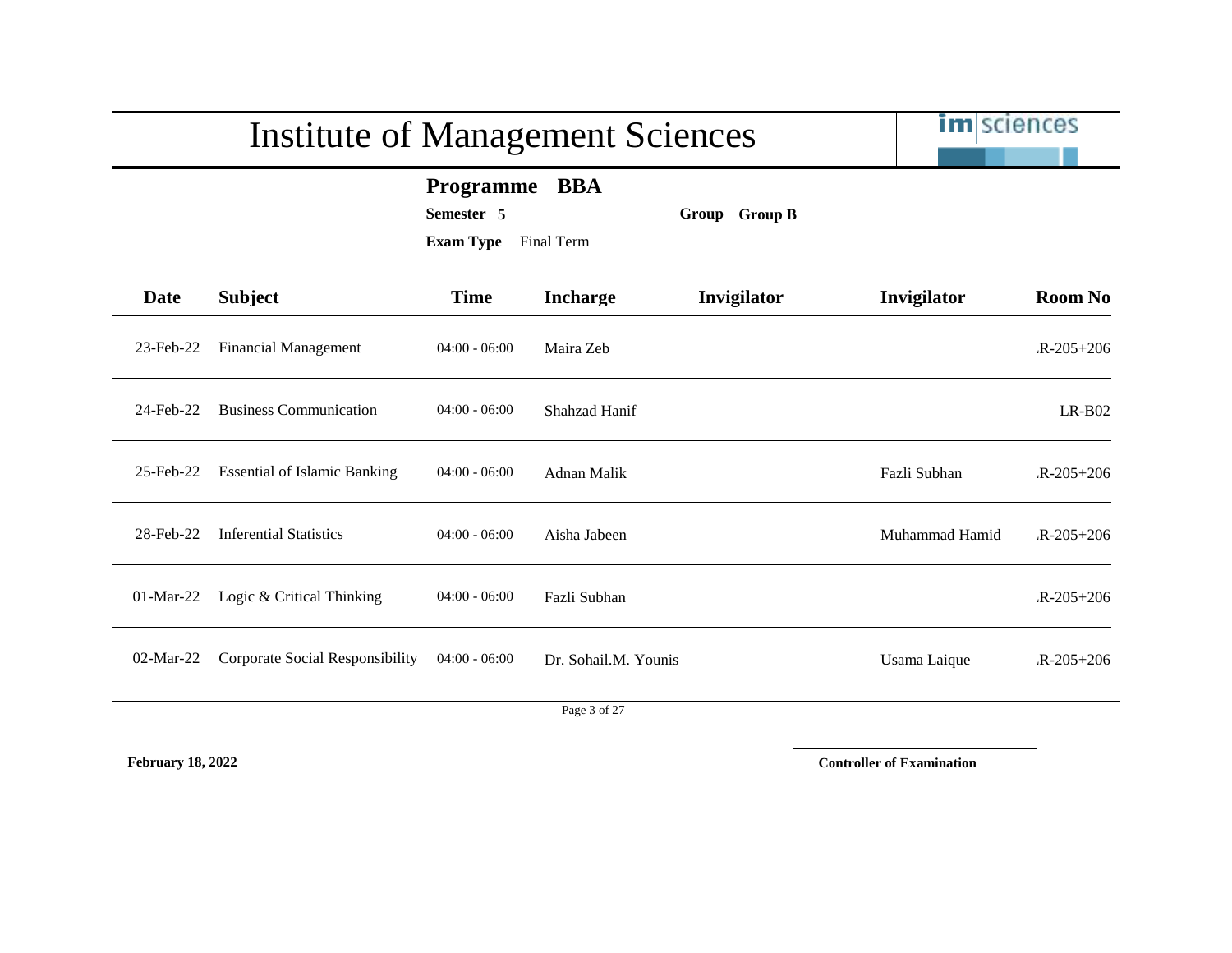|              | <b>Institute of Management Sciences</b> | <b>im</b> sciences                                     |                      |               |                |                 |
|--------------|-----------------------------------------|--------------------------------------------------------|----------------------|---------------|----------------|-----------------|
|              |                                         | <b>Programme</b><br>Semester 5<br>Exam Type Final Term | <b>BBA</b>           | Group Group B |                |                 |
| Date         | <b>Subject</b>                          | <b>Time</b>                                            | <b>Incharge</b>      | Invigilator   | Invigilator    | <b>Room No</b>  |
| 23-Feb-22    | <b>Financial Management</b>             | $04:00 - 06:00$                                        | Maira Zeb            |               |                | $R - 205 + 206$ |
| 24-Feb-22    | <b>Business Communication</b>           | $04:00 - 06:00$                                        | Shahzad Hanif        |               |                | $LR-B02$        |
| 25-Feb-22    | <b>Essential of Islamic Banking</b>     | $04:00 - 06:00$                                        | Adnan Malik          |               | Fazli Subhan   | $R - 205 + 206$ |
| 28-Feb-22    | <b>Inferential Statistics</b>           | $04:00 - 06:00$                                        | Aisha Jabeen         |               | Muhammad Hamid | $R - 205 + 206$ |
| $01$ -Mar-22 | Logic & Critical Thinking               | $04:00 - 06:00$                                        | Fazli Subhan         |               |                | $R-205+206$     |
| $02$ -Mar-22 | <b>Corporate Social Responsibility</b>  | $04:00 - 06:00$                                        | Dr. Sohail.M. Younis |               | Usama Laique   | $R - 205 + 206$ |
|              |                                         |                                                        | Page 3 of 27         |               |                |                 |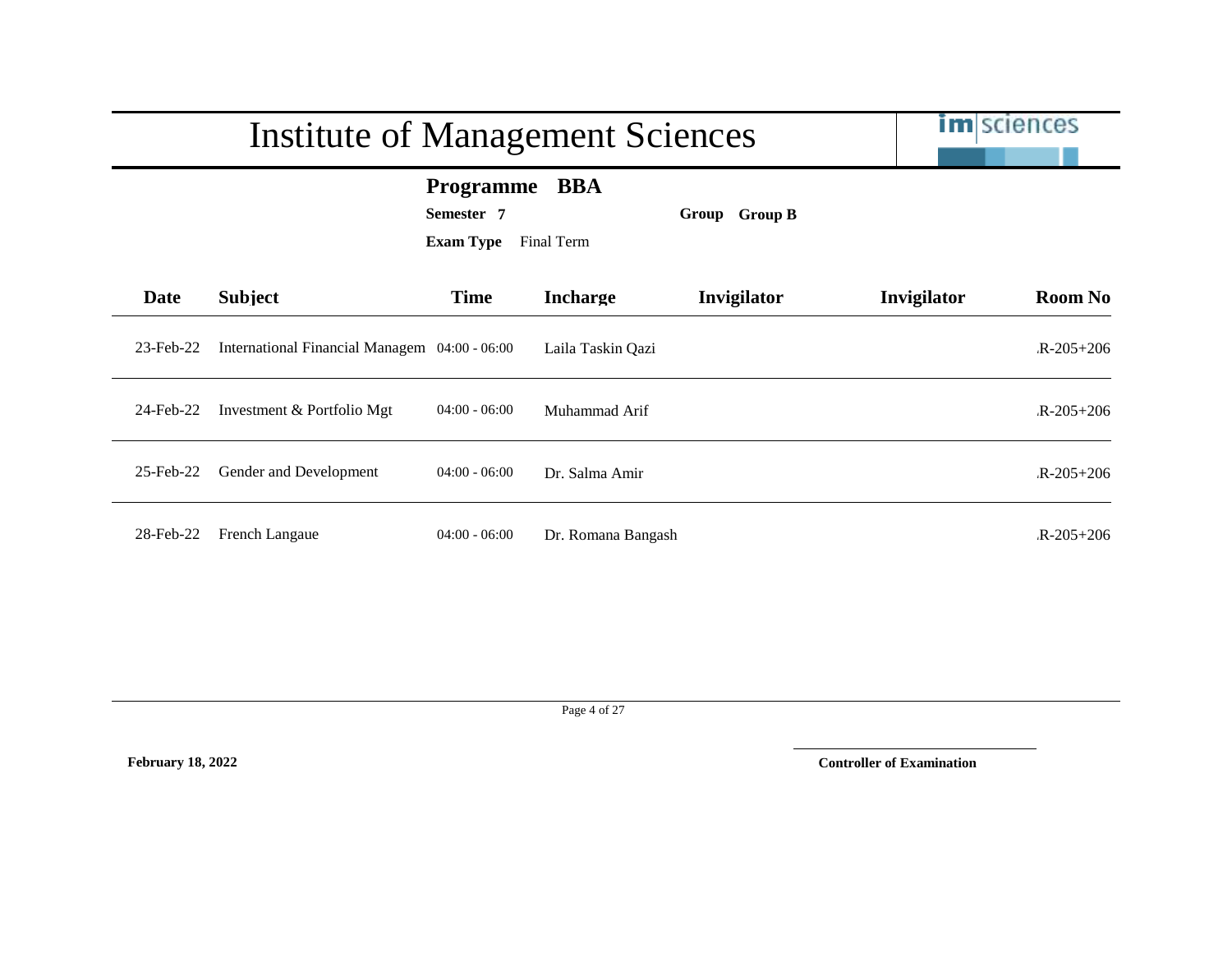|             | <b>Institute of Management Sciences</b>       | <b>im</b> sciences                                 |                          |               |             |                 |
|-------------|-----------------------------------------------|----------------------------------------------------|--------------------------|---------------|-------------|-----------------|
|             |                                               | <b>Programme</b><br>Semester 7<br><b>Exam Type</b> | <b>BBA</b><br>Final Term | Group Group B |             |                 |
| <b>Date</b> | <b>Subject</b>                                | <b>Time</b>                                        | <b>Incharge</b>          | Invigilator   | Invigilator | <b>Room No</b>  |
| 23-Feb-22   | International Financial Managem 04:00 - 06:00 |                                                    | Laila Taskin Qazi        |               |             | $R - 205 + 206$ |
| 24-Feb-22   | Investment & Portfolio Mgt                    | $04:00 - 06:00$                                    | Muhammad Arif            |               |             | $R-205+206$     |
| 25-Feb-22   | Gender and Development                        | $04:00 - 06:00$                                    | Dr. Salma Amir           |               |             | $R - 205 + 206$ |
| 28-Feb-22   | French Langaue                                | $04:00 - 06:00$                                    | Dr. Romana Bangash       |               |             | $R - 205 + 206$ |

Page 4 of 27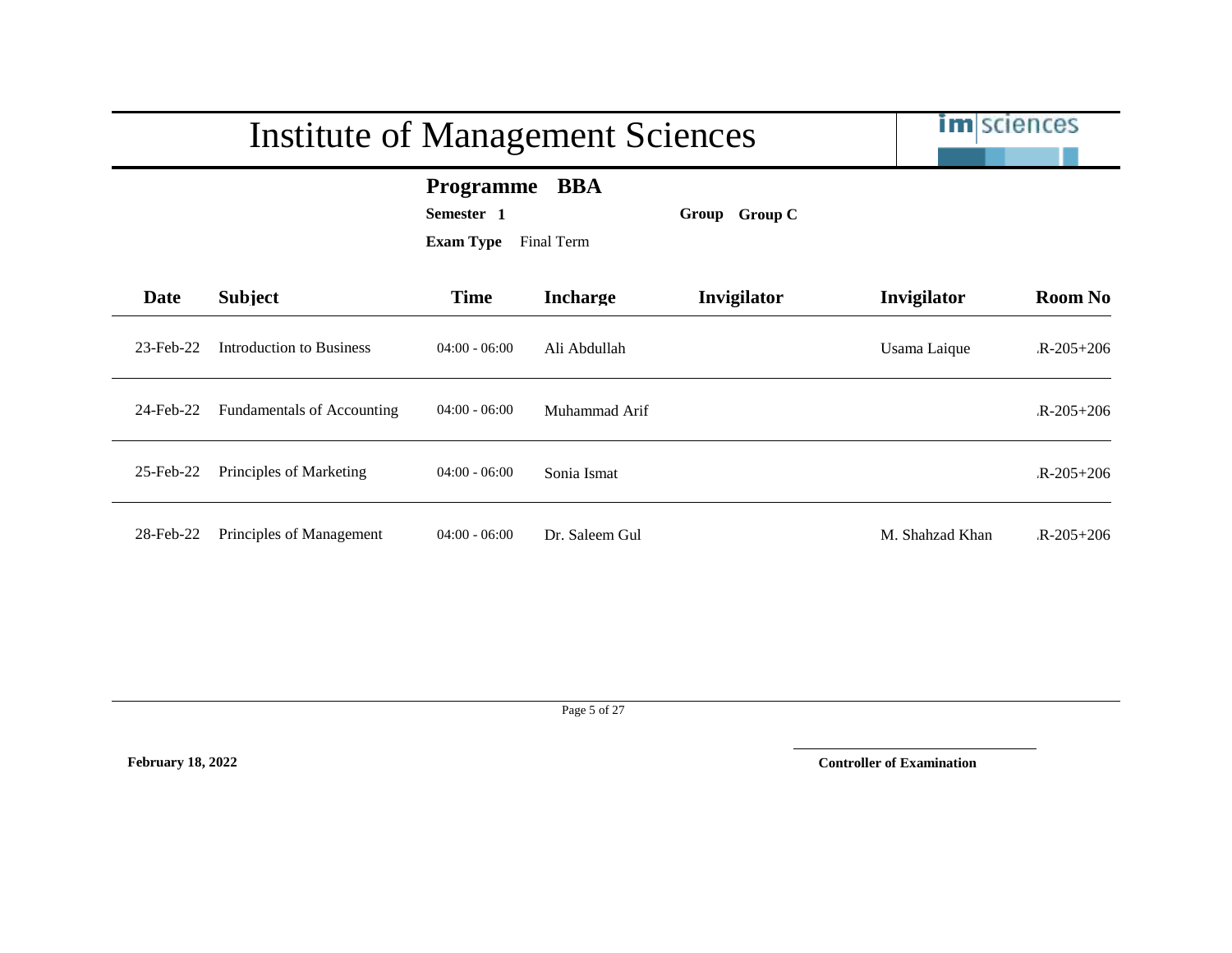|           | <b>Institute of Management Sciences</b> | <b>im</b> sciences                                 |                          |                         |                 |                 |
|-----------|-----------------------------------------|----------------------------------------------------|--------------------------|-------------------------|-----------------|-----------------|
|           |                                         | <b>Programme</b><br>Semester 1<br><b>Exam Type</b> | <b>BBA</b><br>Final Term | <b>Group C</b><br>Group |                 |                 |
| Date      | <b>Subject</b>                          | <b>Time</b>                                        | <b>Incharge</b>          | Invigilator             | Invigilator     | <b>Room No</b>  |
| 23-Feb-22 | Introduction to Business                | $04:00 - 06:00$                                    | Ali Abdullah             |                         | Usama Laique    | $R - 205 + 206$ |
| 24-Feb-22 | Fundamentals of Accounting              | $04:00 - 06:00$                                    | Muhammad Arif            |                         |                 | $R - 205 + 206$ |
| 25-Feb-22 | Principles of Marketing                 | $04:00 - 06:00$                                    | Sonia Ismat              |                         |                 | $R - 205 + 206$ |
| 28-Feb-22 | Principles of Management                | $04:00 - 06:00$                                    | Dr. Saleem Gul           |                         | M. Shahzad Khan | $R - 205 + 206$ |

Page 5 of 27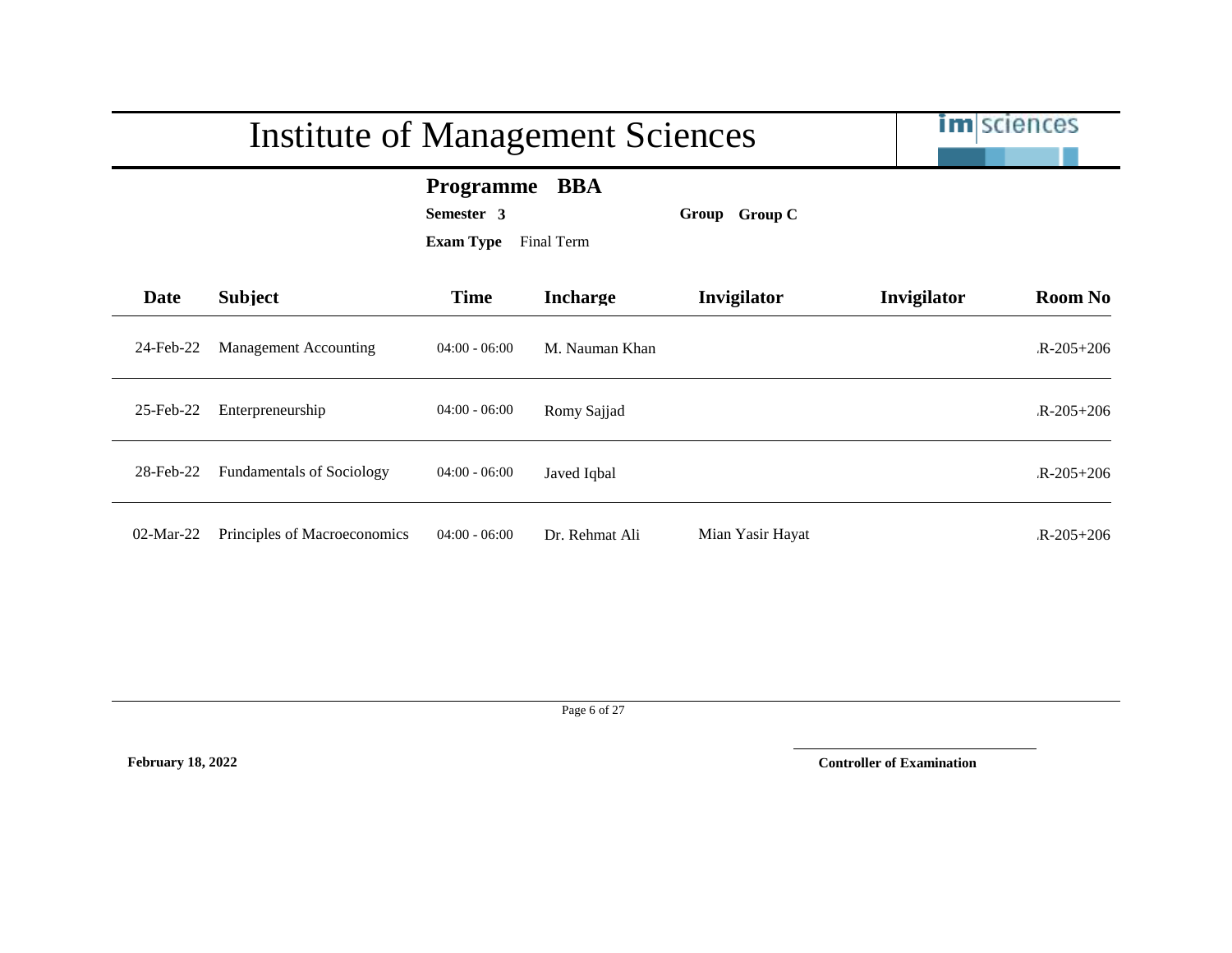|              | <b>Institute of Management Sciences</b> | <b>im</b> sciences                              |                 |                  |             |                 |
|--------------|-----------------------------------------|-------------------------------------------------|-----------------|------------------|-------------|-----------------|
|              |                                         | Programme BBA<br>Semester 3<br><b>Exam Type</b> | Final Term      | Group Group C    |             |                 |
| Date         | <b>Subject</b>                          | <b>Time</b>                                     | <b>Incharge</b> | Invigilator      | Invigilator | <b>Room No</b>  |
| 24-Feb-22    | <b>Management Accounting</b>            | $04:00 - 06:00$                                 | M. Nauman Khan  |                  |             | $R - 205 + 206$ |
| 25-Feb-22    | Enterpreneurship                        | $04:00 - 06:00$                                 | Romy Sajjad     |                  |             | $R - 205 + 206$ |
| 28-Feb-22    | <b>Fundamentals of Sociology</b>        | $04:00 - 06:00$                                 | Javed Iqbal     |                  |             | $R-205+206$     |
| $02$ -Mar-22 | Principles of Macroeconomics            | $04:00 - 06:00$                                 | Dr. Rehmat Ali  | Mian Yasir Hayat |             | $R - 205 + 206$ |

Page 6 of 27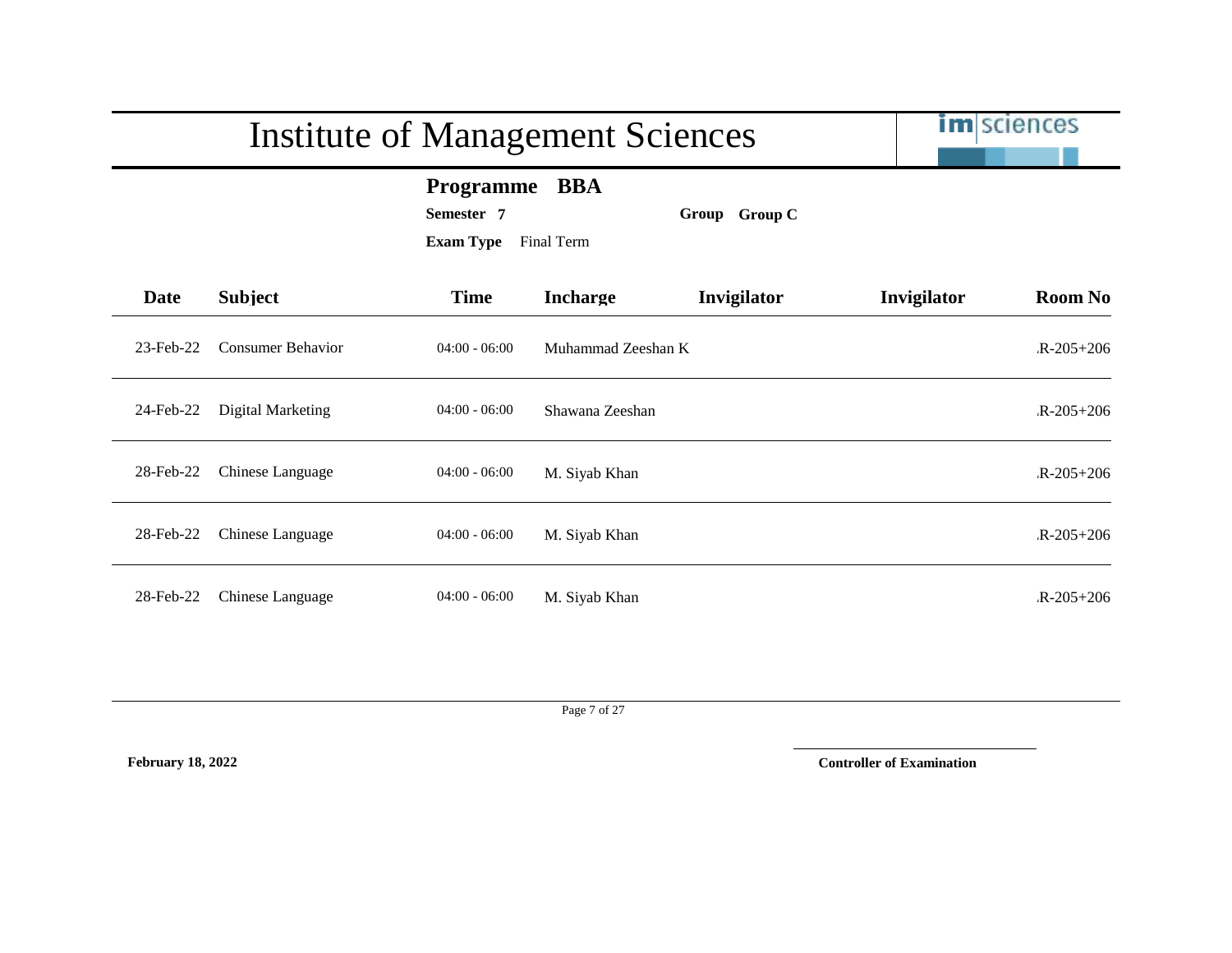|           | <b>Institute of Management Sciences</b> | im sciences                                                   |                    |               |             |                 |
|-----------|-----------------------------------------|---------------------------------------------------------------|--------------------|---------------|-------------|-----------------|
|           |                                         | <b>Programme</b><br>Semester 7<br><b>Exam Type</b> Final Term | <b>BBA</b>         | Group Group C |             |                 |
| Date      | <b>Subject</b>                          | <b>Time</b>                                                   | <b>Incharge</b>    | Invigilator   | Invigilator | <b>Room No</b>  |
| 23-Feb-22 | <b>Consumer Behavior</b>                | $04:00 - 06:00$                                               | Muhammad Zeeshan K |               |             | $R - 205 + 206$ |
| 24-Feb-22 | Digital Marketing                       | $04:00 - 06:00$                                               | Shawana Zeeshan    |               |             | $R-205+206$     |
| 28-Feb-22 | Chinese Language                        | $04:00 - 06:00$                                               | M. Siyab Khan      |               |             | $R - 205 + 206$ |
| 28-Feb-22 | Chinese Language                        | $04:00 - 06:00$                                               | M. Siyab Khan      |               |             | $R - 205 + 206$ |
| 28-Feb-22 | Chinese Language                        | $04:00 - 06:00$                                               | M. Siyab Khan      |               |             | $R - 205 + 206$ |

Page 7 of 27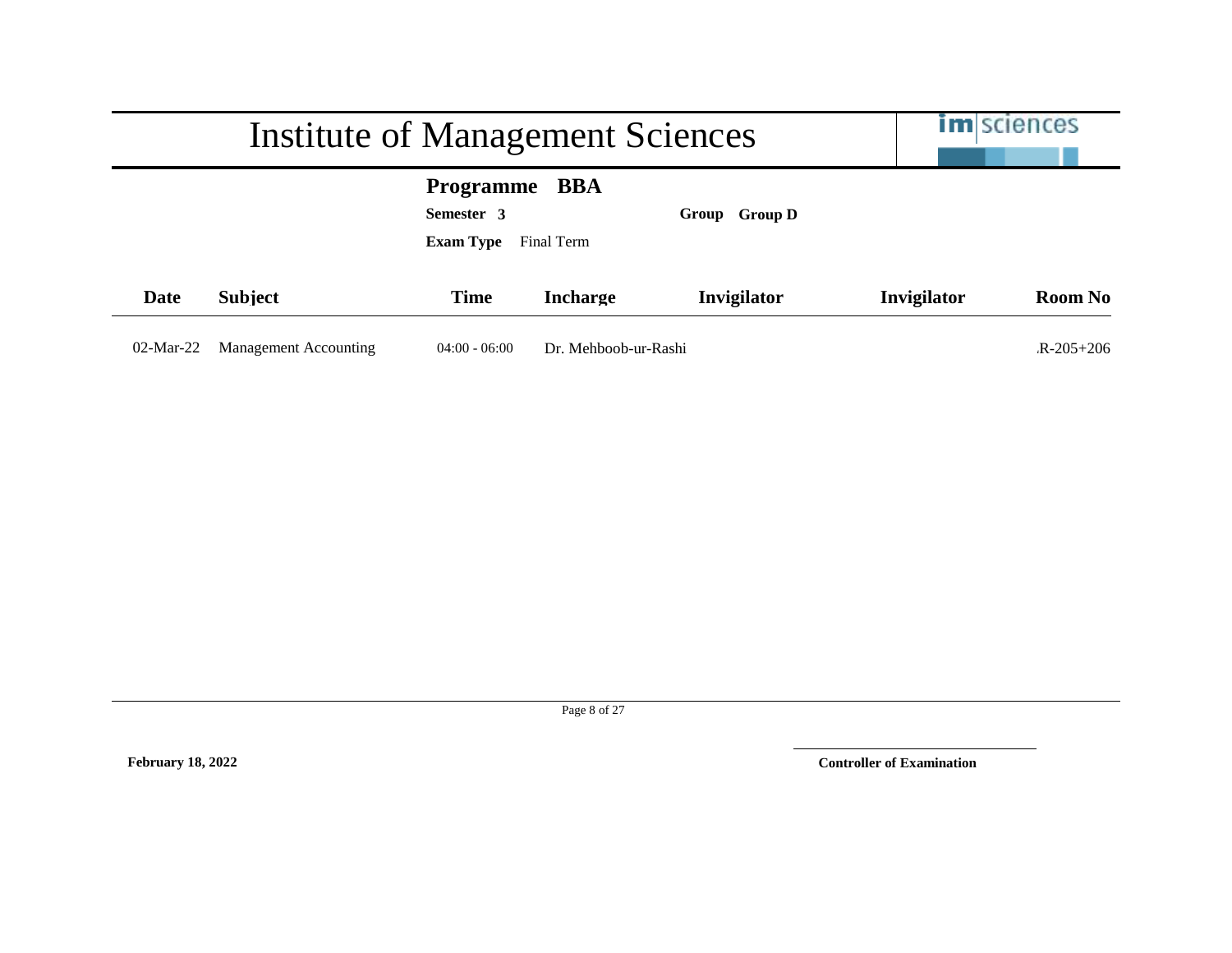|              | Institute of Management Sciences |                                                                         | <b>im</b> sciences   |               |             |                 |
|--------------|----------------------------------|-------------------------------------------------------------------------|----------------------|---------------|-------------|-----------------|
|              |                                  | <b>Programme</b><br>BBA<br>Semester 3<br><b>Exam Type</b><br>Final Term |                      | Group Group D |             |                 |
| Date         | <b>Subject</b>                   | <b>Time</b>                                                             | <b>Incharge</b>      | Invigilator   | Invigilator | <b>Room No</b>  |
| $02$ -Mar-22 | Management Accounting            | $04:00 - 06:00$                                                         | Dr. Mehboob-ur-Rashi |               |             | $R - 205 + 206$ |

Page 8 of 27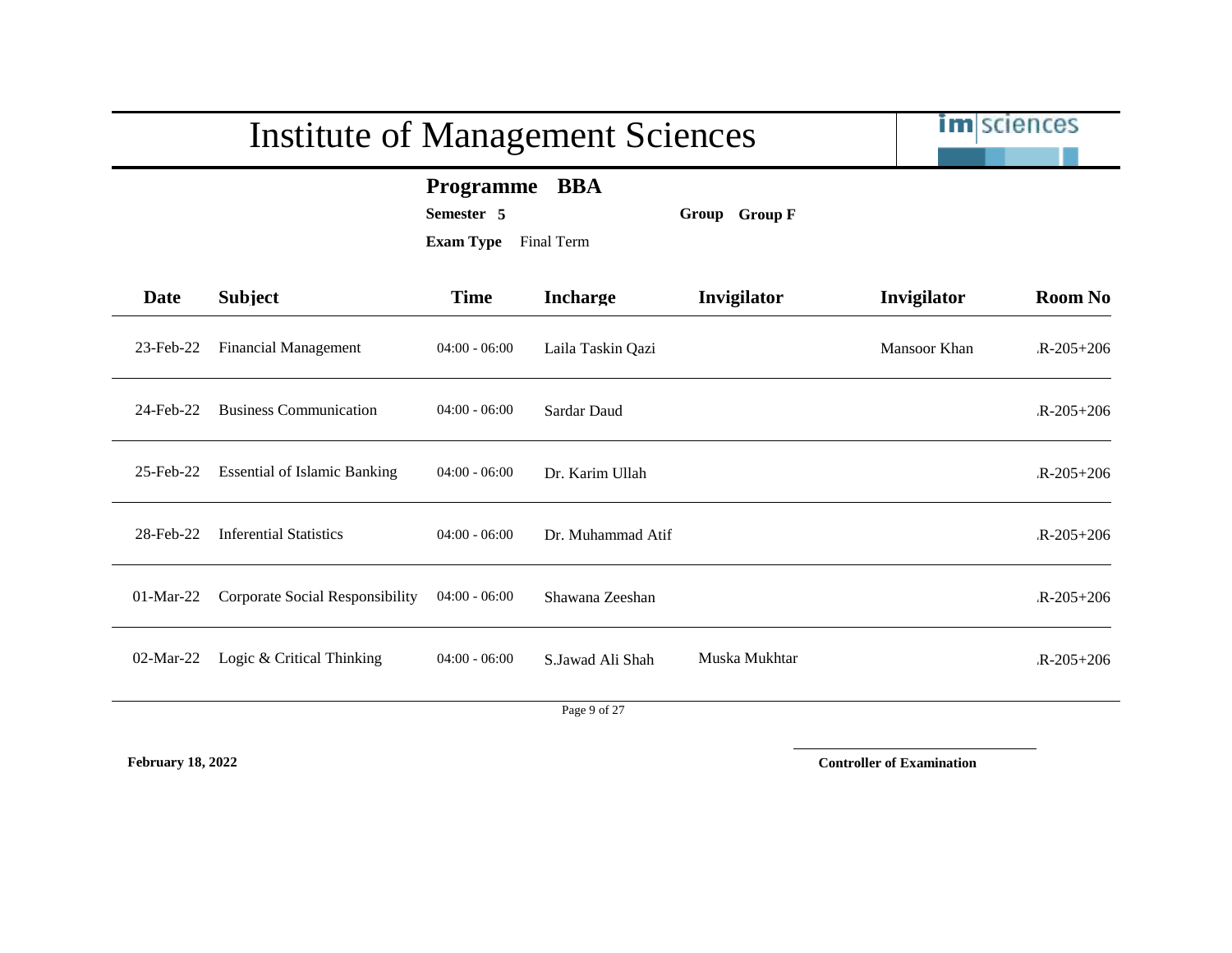|              | <b>Institute of Management Sciences</b> | <b>im</b> sciences                                 |                          |               |              |                 |
|--------------|-----------------------------------------|----------------------------------------------------|--------------------------|---------------|--------------|-----------------|
|              |                                         | <b>Programme</b><br>Semester 5<br><b>Exam Type</b> | <b>BBA</b><br>Final Term | Group Group F |              |                 |
| <b>Date</b>  | <b>Subject</b>                          | <b>Time</b>                                        | <b>Incharge</b>          | Invigilator   | Invigilator  | <b>Room No</b>  |
| 23-Feb-22    | <b>Financial Management</b>             | $04:00 - 06:00$                                    | Laila Taskin Qazi        |               | Mansoor Khan | $R - 205 + 206$ |
| 24-Feb-22    | <b>Business Communication</b>           | $04:00 - 06:00$                                    | Sardar Daud              |               |              | $R - 205 + 206$ |
| 25-Feb-22    | <b>Essential of Islamic Banking</b>     | $04:00 - 06:00$                                    | Dr. Karim Ullah          |               |              | $R - 205 + 206$ |
| 28-Feb-22    | <b>Inferential Statistics</b>           | $04:00 - 06:00$                                    | Dr. Muhammad Atif        |               |              | $R - 205 + 206$ |
| $01$ -Mar-22 | Corporate Social Responsibility         | $04:00 - 06:00$                                    | Shawana Zeeshan          |               |              | $R - 205 + 206$ |
| 02-Mar-22    | Logic & Critical Thinking               | $04:00 - 06:00$                                    | S.Jawad Ali Shah         | Muska Mukhtar |              | $R - 205 + 206$ |
|              |                                         |                                                    | Page 9 of 27             |               |              |                 |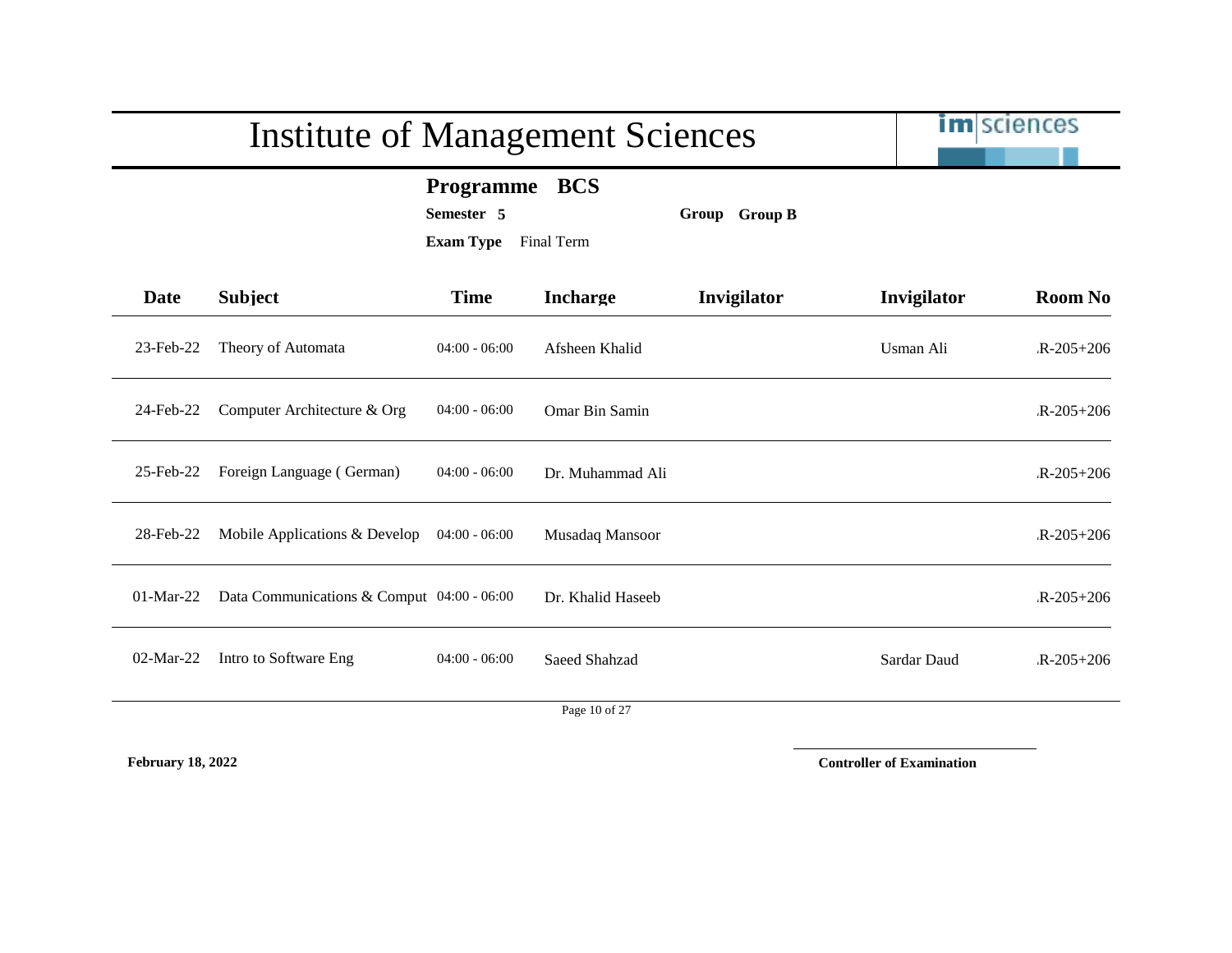|              | <b>Institute of Management Sciences</b>    | im sciences                                            |                   |               |             |                 |
|--------------|--------------------------------------------|--------------------------------------------------------|-------------------|---------------|-------------|-----------------|
|              |                                            | <b>Programme</b><br>Semester 5<br>Exam Type Final Term | <b>BCS</b>        | Group Group B |             |                 |
| Date         | <b>Subject</b>                             | <b>Time</b>                                            | <b>Incharge</b>   | Invigilator   | Invigilator | <b>Room No</b>  |
| 23-Feb-22    | Theory of Automata                         | $04:00 - 06:00$                                        | Afsheen Khalid    |               | Usman Ali   | $R - 205 + 206$ |
| 24-Feb-22    | Computer Architecture & Org                | $04:00 - 06:00$                                        | Omar Bin Samin    |               |             | $R - 205 + 206$ |
| 25-Feb-22    | Foreign Language (German)                  | $04:00 - 06:00$                                        | Dr. Muhammad Ali  |               |             | $R - 205 + 206$ |
| 28-Feb-22    | Mobile Applications & Develop              | $04:00 - 06:00$                                        | Musadaq Mansoor   |               |             | $R - 205 + 206$ |
| $01-Mar-22$  | Data Communications & Comput 04:00 - 06:00 |                                                        | Dr. Khalid Haseeb |               |             | $R - 205 + 206$ |
| $02$ -Mar-22 | Intro to Software Eng                      | $04:00 - 06:00$                                        | Saeed Shahzad     |               | Sardar Daud | $R-205+206$     |
|              |                                            |                                                        | Page 10 of 27     |               |             |                 |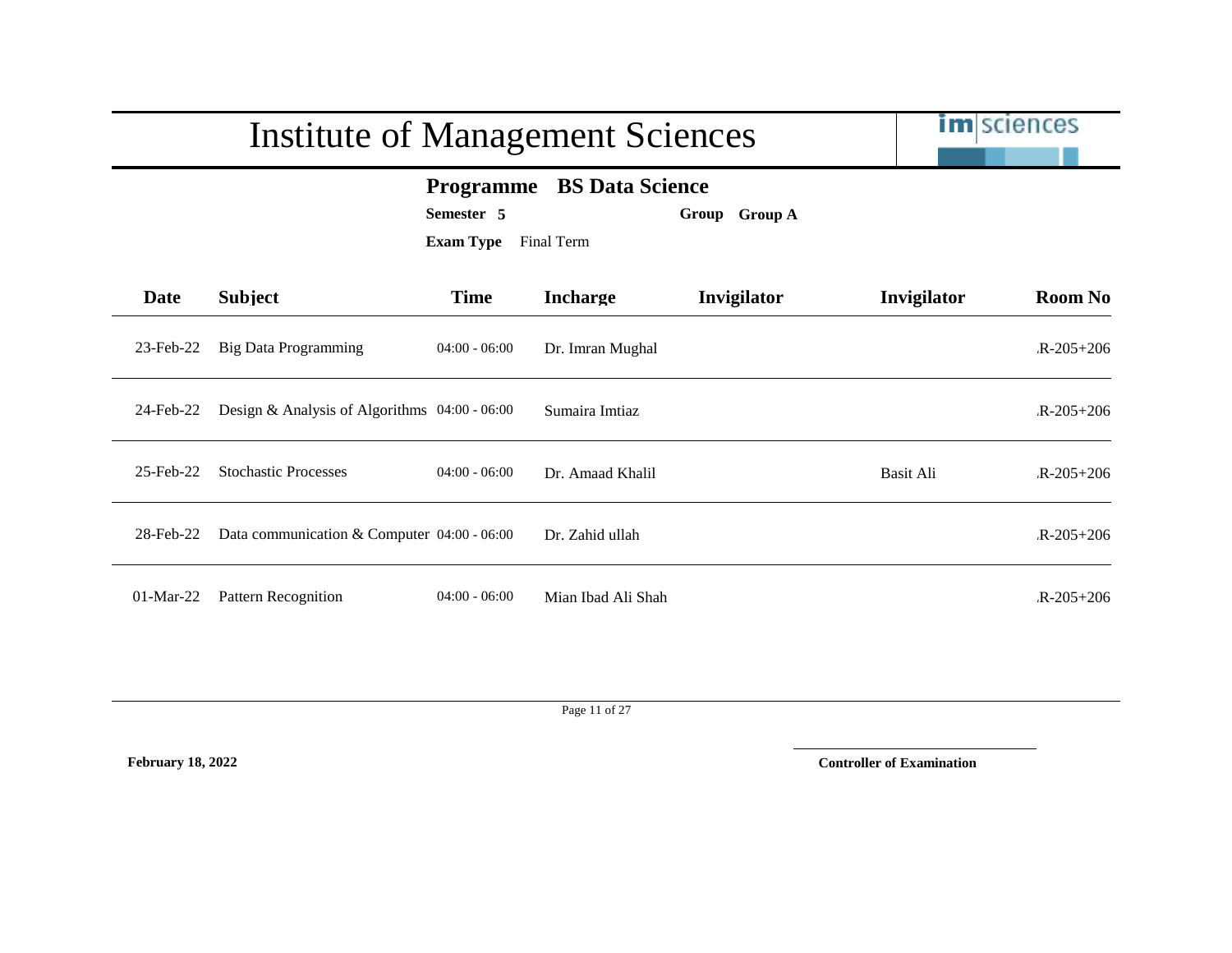|                 | <b>Institute of Management Sciences</b>       | <b>im</b> sciences             |                                                |               |                  |                 |
|-----------------|-----------------------------------------------|--------------------------------|------------------------------------------------|---------------|------------------|-----------------|
|                 |                                               | Semester 5<br><b>Exam Type</b> | <b>Programme</b> BS Data Science<br>Final Term | Group Group A |                  |                 |
| Date            | <b>Subject</b>                                | <b>Time</b>                    | <b>Incharge</b>                                | Invigilator   | Invigilator      | <b>Room No</b>  |
| $23$ -Feb- $22$ | <b>Big Data Programming</b>                   | $04:00 - 06:00$                | Dr. Imran Mughal                               |               |                  | $R - 205 + 206$ |
| 24-Feb-22       | Design & Analysis of Algorithms 04:00 - 06:00 |                                | Sumaira Imtiaz                                 |               |                  | $R - 205 + 206$ |
| 25-Feb-22       | <b>Stochastic Processes</b>                   | $04:00 - 06:00$                | Dr. Amaad Khalil                               |               | <b>Basit Ali</b> | $R - 205 + 206$ |
| 28-Feb-22       | Data communication & Computer 04:00 - 06:00   |                                | Dr. Zahid ullah                                |               |                  | $R - 205 + 206$ |
| $01$ -Mar-22    | Pattern Recognition                           | $04:00 - 06:00$                | Mian Ibad Ali Shah                             |               |                  | $R - 205 + 206$ |

Page 11 of 27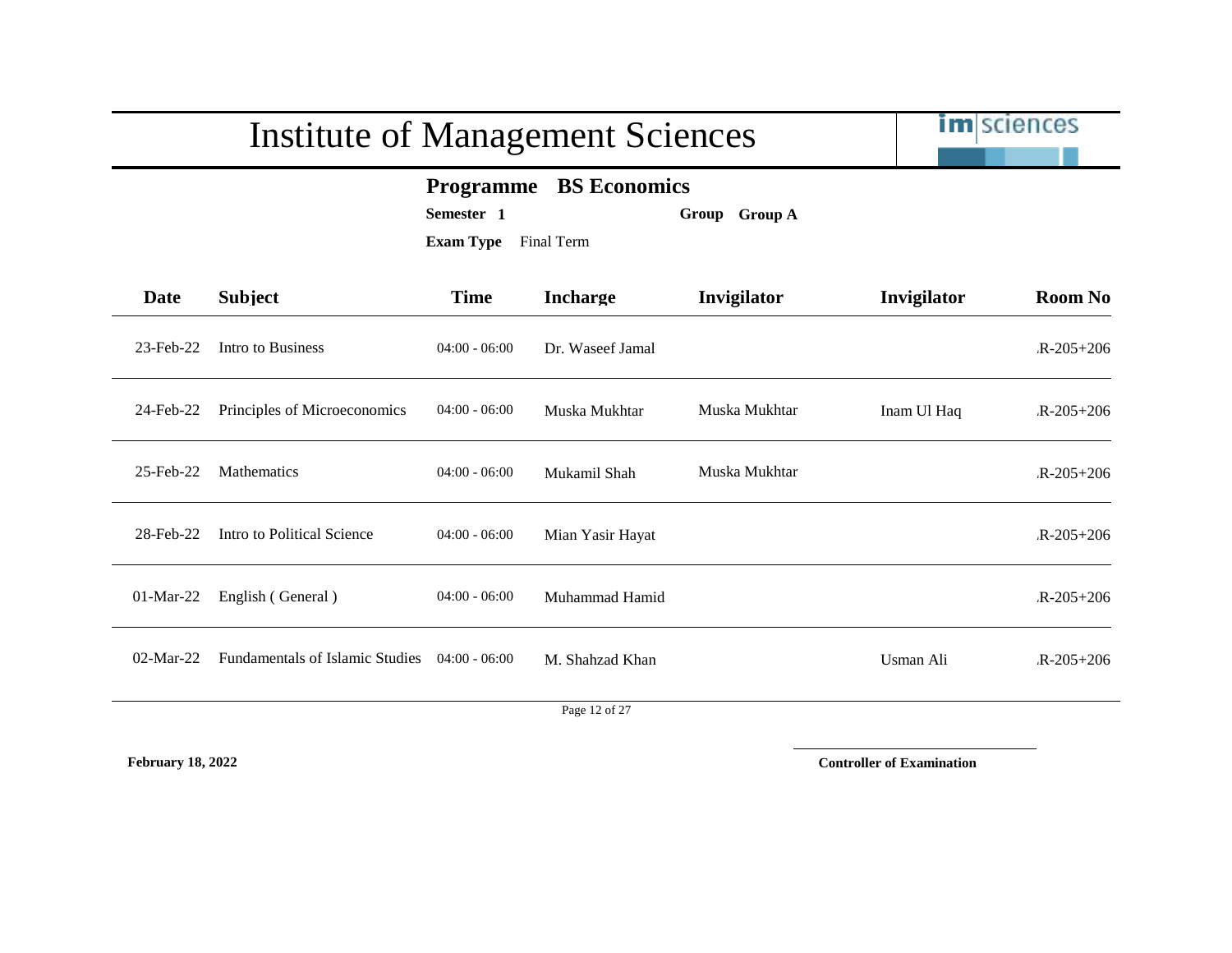|             | <b>Institute of Management Sciences</b>       | <b>im</b> sciences                                                                                    |                  |               |             |                 |
|-------------|-----------------------------------------------|-------------------------------------------------------------------------------------------------------|------------------|---------------|-------------|-----------------|
|             |                                               | <b>BS Economics</b><br><b>Programme</b><br>Semester 1<br>Group Group A<br><b>Exam Type</b> Final Term |                  |               |             |                 |
| Date        | <b>Subject</b>                                | <b>Time</b>                                                                                           | <b>Incharge</b>  | Invigilator   | Invigilator | <b>Room No</b>  |
| 23-Feb-22   | Intro to Business                             | $04:00 - 06:00$                                                                                       | Dr. Waseef Jamal |               |             | $R - 205 + 206$ |
| 24-Feb-22   | Principles of Microeconomics                  | $04:00 - 06:00$                                                                                       | Muska Mukhtar    | Muska Mukhtar | Inam Ul Haq | $R - 205 + 206$ |
| 25-Feb-22   | Mathematics                                   | $04:00 - 06:00$                                                                                       | Mukamil Shah     | Muska Mukhtar |             | $R - 205 + 206$ |
| 28-Feb-22   | Intro to Political Science                    | $04:00 - 06:00$                                                                                       | Mian Yasir Hayat |               |             | $R - 205 + 206$ |
| $01-Mar-22$ | English (General)                             | $04:00 - 06:00$                                                                                       | Muhammad Hamid   |               |             | $R - 205 + 206$ |
| $02-Mar-22$ | Fundamentals of Islamic Studies 04:00 - 06:00 |                                                                                                       | M. Shahzad Khan  |               | Usman Ali   | $R-205+206$     |
|             |                                               |                                                                                                       | Page 12 of 27    |               |             |                 |

÷

т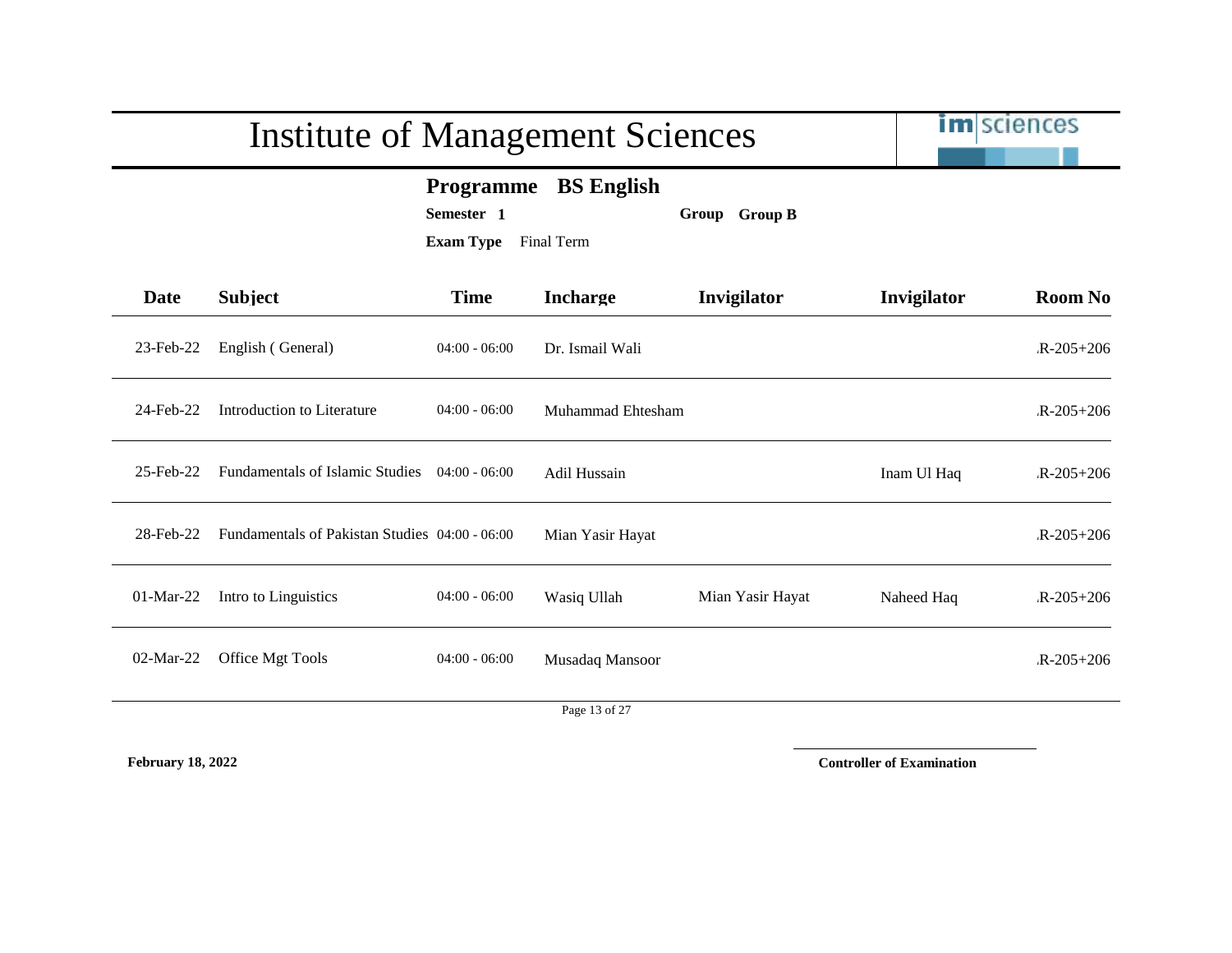|                                                                                              | <b>Institute of Management Sciences</b>        | <b>im</b> sciences |                   |                  |             |                 |  |
|----------------------------------------------------------------------------------------------|------------------------------------------------|--------------------|-------------------|------------------|-------------|-----------------|--|
| <b>BS</b> English<br>Programme<br>Semester 1<br>Group Group B<br><b>Exam Type</b> Final Term |                                                |                    |                   |                  |             |                 |  |
| Date                                                                                         | <b>Subject</b>                                 | <b>Time</b>        | <b>Incharge</b>   | Invigilator      | Invigilator | <b>Room No</b>  |  |
| 23-Feb-22                                                                                    | English (General)                              | $04:00 - 06:00$    | Dr. Ismail Wali   |                  |             | $R - 205 + 206$ |  |
| 24-Feb-22                                                                                    | Introduction to Literature                     | $04:00 - 06:00$    | Muhammad Ehtesham |                  |             | $R-205+206$     |  |
| 25-Feb-22                                                                                    | Fundamentals of Islamic Studies                | $04:00 - 06:00$    | Adil Hussain      |                  | Inam Ul Haq | $R-205+206$     |  |
| 28-Feb-22                                                                                    | Fundamentals of Pakistan Studies 04:00 - 06:00 |                    | Mian Yasir Hayat  |                  |             | $R - 205 + 206$ |  |
| $01-Mar-22$                                                                                  | Intro to Linguistics                           | $04:00 - 06:00$    | Wasiq Ullah       | Mian Yasir Hayat | Naheed Haq  | $R-205+206$     |  |
| $02$ -Mar-22                                                                                 | Office Mgt Tools                               | $04:00 - 06:00$    | Musadaq Mansoor   |                  |             | $R-205+206$     |  |
|                                                                                              |                                                |                    | Page 13 of 27     |                  |             |                 |  |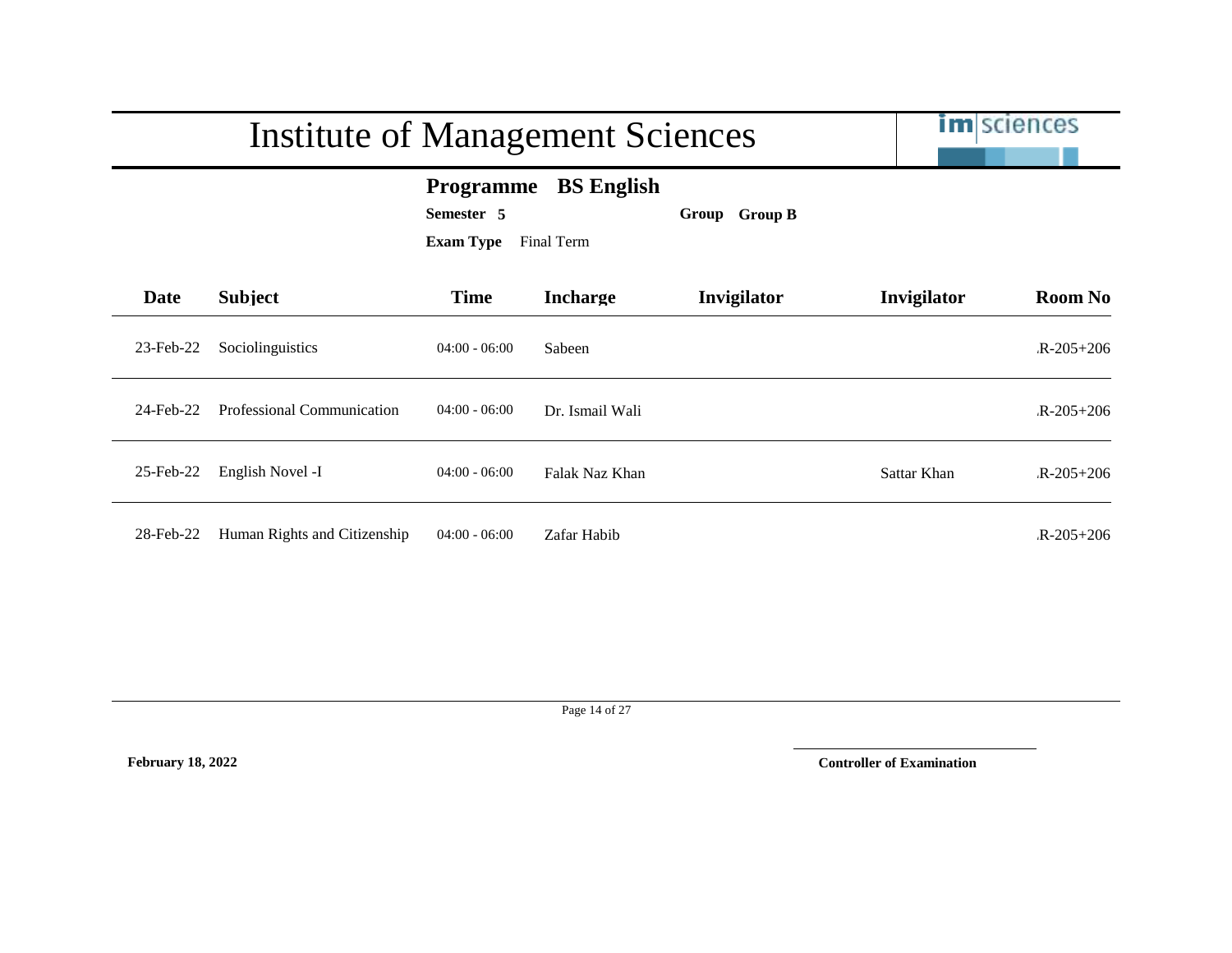|             | <b>Institute of Management Sciences</b> | <b>im</b> sciences                                 |                                 |                         |             |                 |
|-------------|-----------------------------------------|----------------------------------------------------|---------------------------------|-------------------------|-------------|-----------------|
|             |                                         | <b>Programme</b><br>Semester 5<br><b>Exam Type</b> | <b>BS</b> English<br>Final Term | <b>Group B</b><br>Group |             |                 |
| <b>Date</b> | <b>Subject</b>                          | <b>Time</b>                                        | <b>Incharge</b>                 | Invigilator             | Invigilator | <b>Room No</b>  |
| 23-Feb-22   | Sociolinguistics                        | $04:00 - 06:00$                                    | Sabeen                          |                         |             | $R - 205 + 206$ |
| 24-Feb-22   | Professional Communication              | $04:00 - 06:00$                                    | Dr. Ismail Wali                 |                         |             | $R-205+206$     |
| 25-Feb-22   | English Novel -I                        | $04:00 - 06:00$                                    | Falak Naz Khan                  |                         | Sattar Khan | $R-205+206$     |
| 28-Feb-22   | Human Rights and Citizenship            | $04:00 - 06:00$                                    | Zafar Habib                     |                         |             | $R - 205 + 206$ |

Page 14 of 27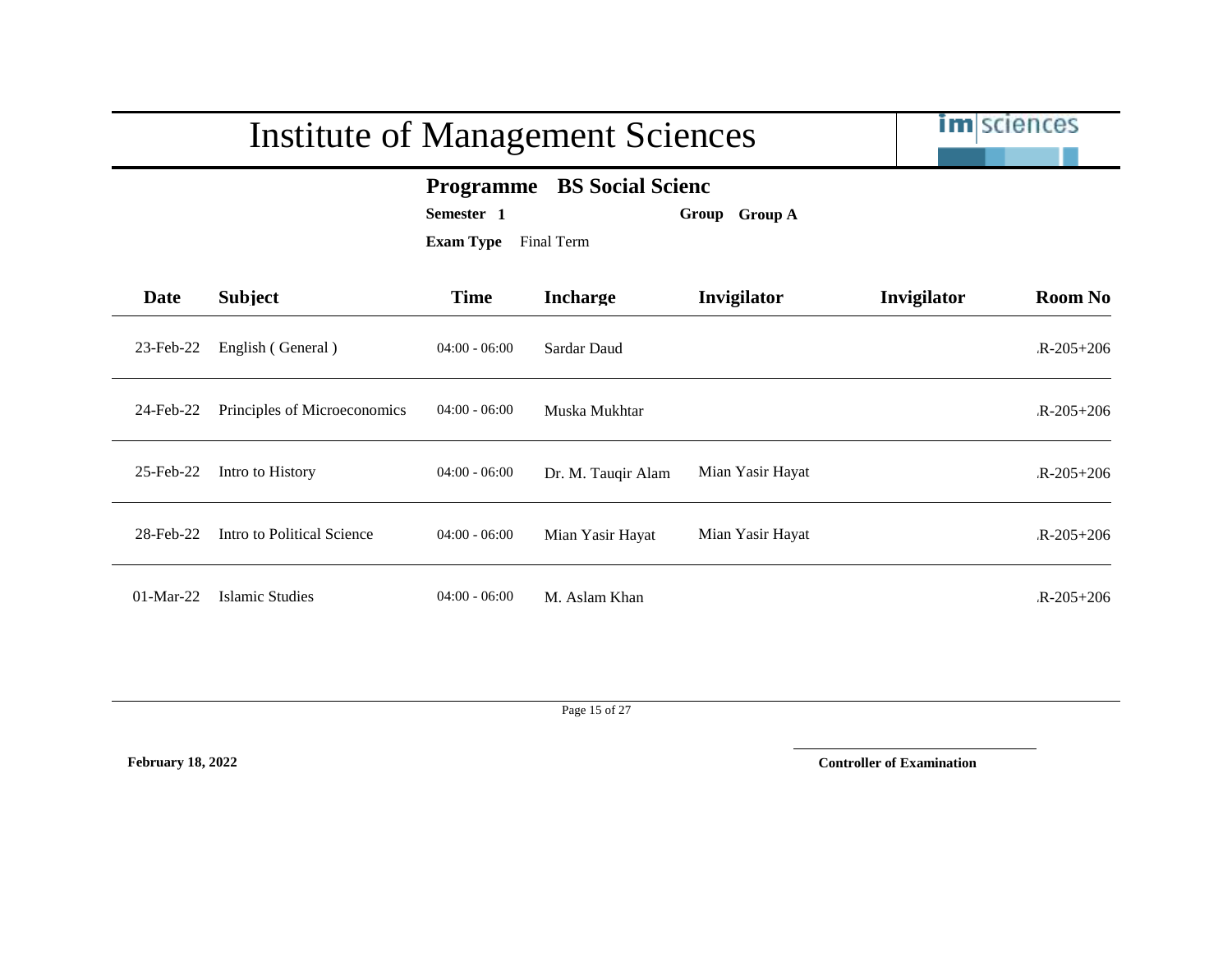|             | <b>Institute of Management Sciences</b>                                                                      | im sciences     |                    |                  |             |                 |  |  |
|-------------|--------------------------------------------------------------------------------------------------------------|-----------------|--------------------|------------------|-------------|-----------------|--|--|
|             | <b>BS</b> Social Scienc<br><b>Programme</b><br>Semester 1<br>Group Group A<br><b>Exam Type</b><br>Final Term |                 |                    |                  |             |                 |  |  |
| <b>Date</b> | <b>Subject</b>                                                                                               | <b>Time</b>     | <b>Incharge</b>    | Invigilator      | Invigilator | <b>Room No</b>  |  |  |
| 23-Feb-22   | English (General)                                                                                            | $04:00 - 06:00$ | <b>Sardar Daud</b> |                  |             | $R - 205 + 206$ |  |  |
| 24-Feb-22   | Principles of Microeconomics                                                                                 | $04:00 - 06:00$ | Muska Mukhtar      |                  |             | $R - 205 + 206$ |  |  |
| 25-Feb-22   | Intro to History                                                                                             | $04:00 - 06:00$ | Dr. M. Tauqir Alam | Mian Yasir Hayat |             | $R - 205 + 206$ |  |  |
| 28-Feb-22   | Intro to Political Science                                                                                   | $04:00 - 06:00$ | Mian Yasir Hayat   | Mian Yasir Hayat |             | $R - 205 + 206$ |  |  |
| $01-Mar-22$ | <b>Islamic Studies</b>                                                                                       | $04:00 - 06:00$ | M. Aslam Khan      |                  |             | $R - 205 + 206$ |  |  |

Page 15 of 27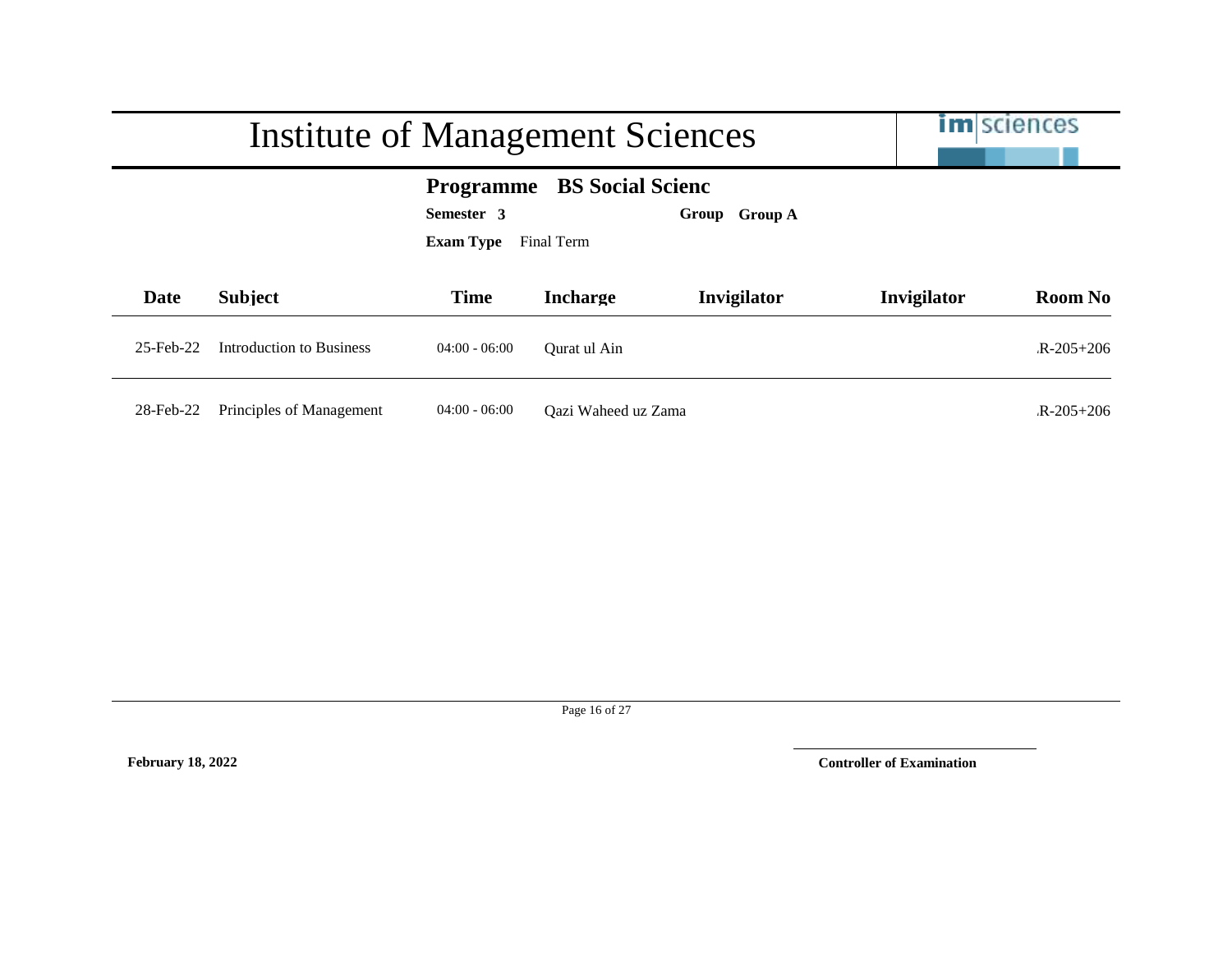|                                                                                                                        | Institute of Management Sciences |                 | <b>im</b> sciences  |             |             |                 |
|------------------------------------------------------------------------------------------------------------------------|----------------------------------|-----------------|---------------------|-------------|-------------|-----------------|
| <b>BS</b> Social Scienc<br><b>Programme</b><br>Semester 3<br><b>Group A</b><br>Group<br><b>Exam Type</b><br>Final Term |                                  |                 |                     |             |             |                 |
| <b>Date</b>                                                                                                            | <b>Subject</b>                   | <b>Time</b>     | <b>Incharge</b>     | Invigilator | Invigilator | <b>Room No</b>  |
| 25-Feb-22                                                                                                              | Introduction to Business         | $04:00 - 06:00$ | Qurat ul Ain        |             |             | $R - 205 + 206$ |
| 28-Feb-22                                                                                                              | Principles of Management         | $04:00 - 06:00$ | Qazi Waheed uz Zama |             |             | $R-205+206$     |

Page 16 of 27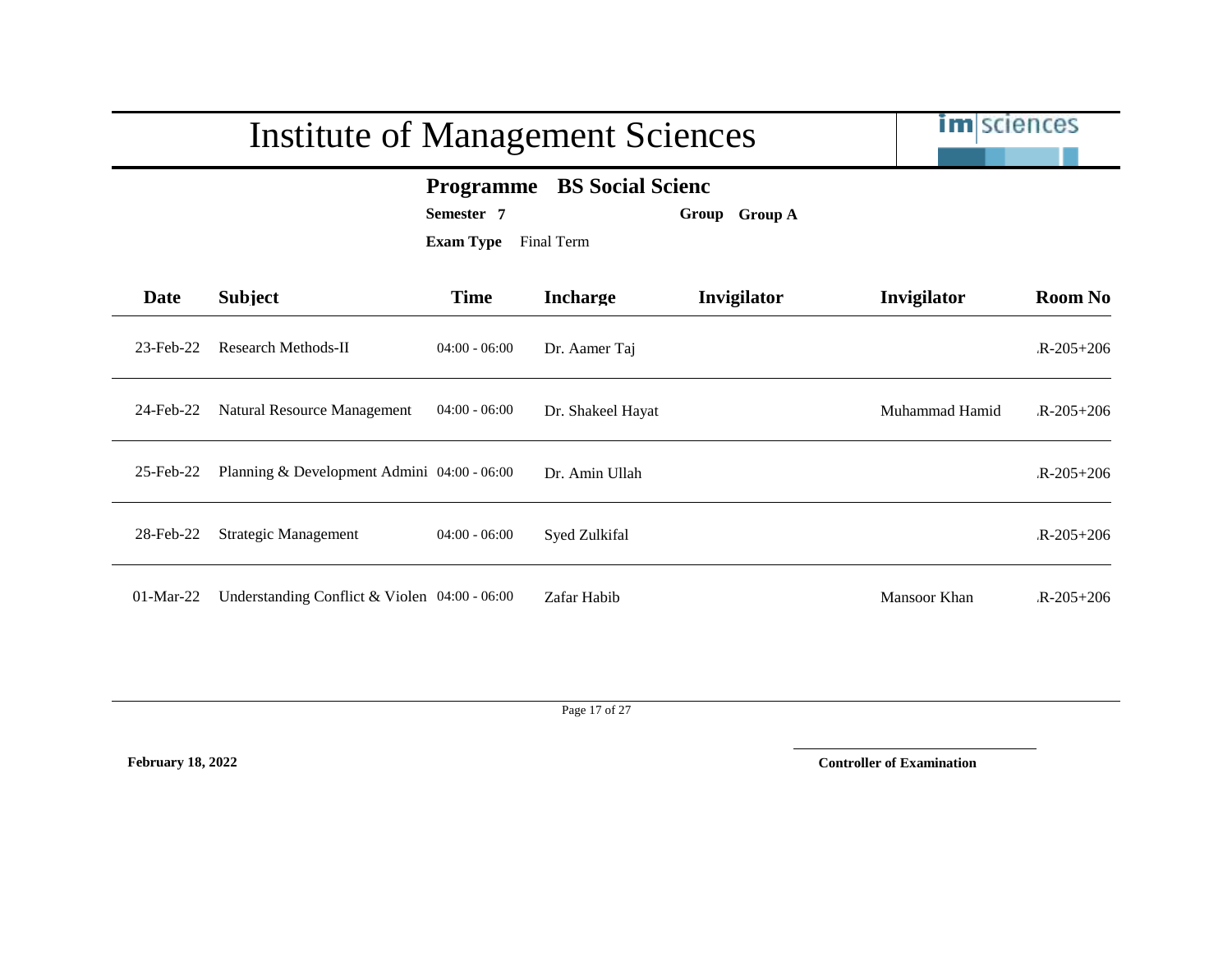|                 | <b>Institute of Management Sciences</b>       | <b>im</b> sciences                                            |                         |               |                |                 |
|-----------------|-----------------------------------------------|---------------------------------------------------------------|-------------------------|---------------|----------------|-----------------|
|                 |                                               | <b>Programme</b><br>Semester 7<br><b>Exam Type</b> Final Term | <b>BS</b> Social Scienc | Group Group A |                |                 |
| Date            | <b>Subject</b>                                | <b>Time</b>                                                   | <b>Incharge</b>         | Invigilator   | Invigilator    | <b>Room No</b>  |
| 23-Feb-22       | <b>Research Methods-II</b>                    | $04:00 - 06:00$                                               | Dr. Aamer Taj           |               |                | $R - 205 + 206$ |
| 24-Feb-22       | Natural Resource Management                   | $04:00 - 06:00$                                               | Dr. Shakeel Hayat       |               | Muhammad Hamid | $R - 205 + 206$ |
| $25$ -Feb- $22$ | Planning & Development Admini 04:00 - 06:00   |                                                               | Dr. Amin Ullah          |               |                | $R - 205 + 206$ |
| 28-Feb-22       | <b>Strategic Management</b>                   | $04:00 - 06:00$                                               | Syed Zulkifal           |               |                | $R - 205 + 206$ |
| $01-Mar-22$     | Understanding Conflict & Violen 04:00 - 06:00 |                                                               | Zafar Habib             |               | Mansoor Khan   | $R - 205 + 206$ |

Page 17 of 27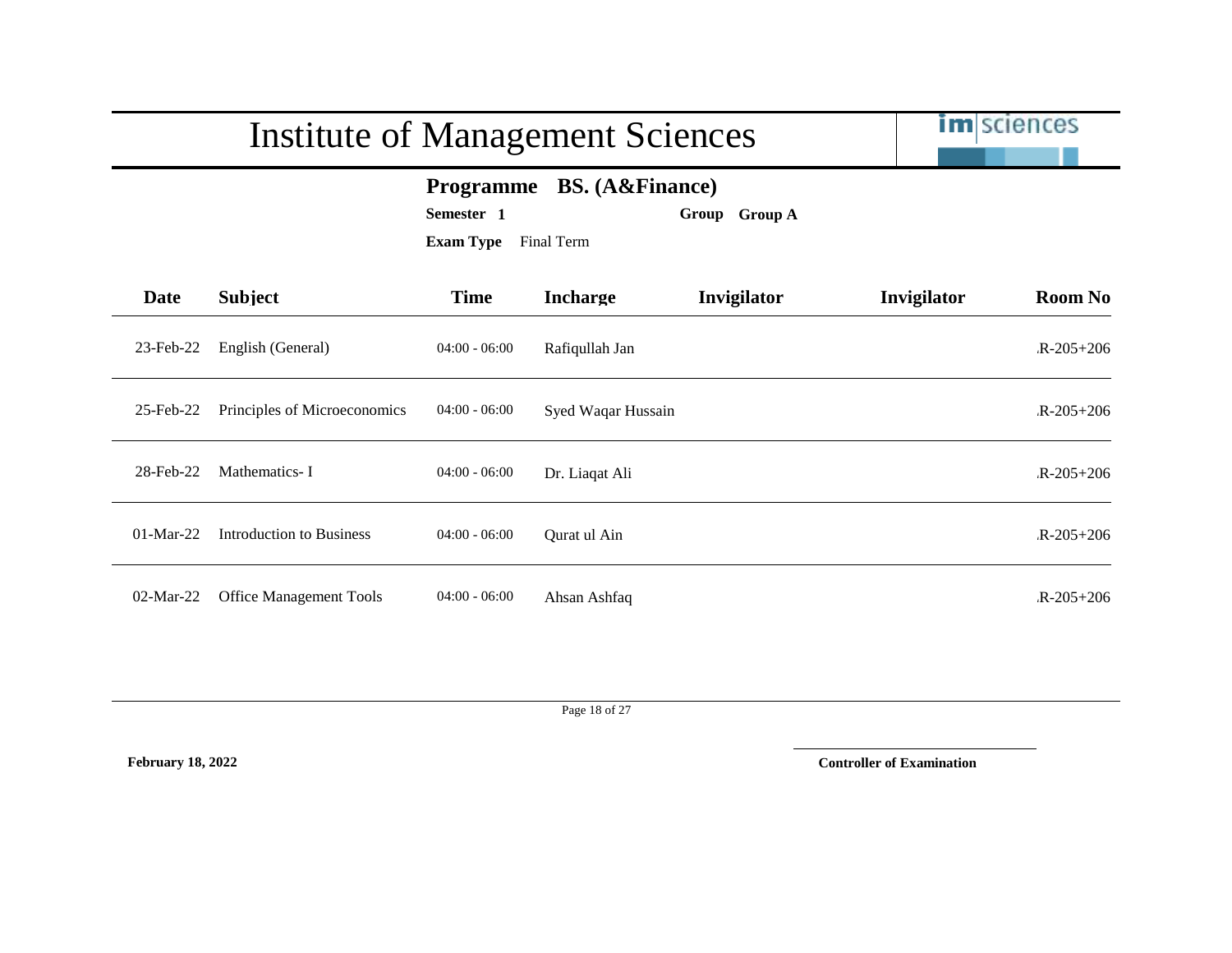|                 | <b>Institute of Management Sciences</b>                                                                     | <b>im</b> sciences |                    |             |             |                 |  |  |
|-----------------|-------------------------------------------------------------------------------------------------------------|--------------------|--------------------|-------------|-------------|-----------------|--|--|
|                 | <b>BS.</b> (A&Finance)<br><b>Programme</b><br>Semester 1<br>Group Group A<br><b>Exam Type</b><br>Final Term |                    |                    |             |             |                 |  |  |
| Date            | <b>Subject</b>                                                                                              | <b>Time</b>        | <b>Incharge</b>    | Invigilator | Invigilator | <b>Room No</b>  |  |  |
| $23$ -Feb- $22$ | English (General)                                                                                           | $04:00 - 06:00$    | Rafiqullah Jan     |             |             | $R - 205 + 206$ |  |  |
| 25-Feb-22       | Principles of Microeconomics                                                                                | $04:00 - 06:00$    | Syed Waqar Hussain |             |             | $R - 205 + 206$ |  |  |
| 28-Feb-22       | Mathematics-I                                                                                               | $04:00 - 06:00$    | Dr. Liaqat Ali     |             |             | $R - 205 + 206$ |  |  |
| $01-Mar-22$     | Introduction to Business                                                                                    | $04:00 - 06:00$    | Qurat ul Ain       |             |             | $R - 205 + 206$ |  |  |
| $02$ -Mar-22    | <b>Office Management Tools</b>                                                                              | $04:00 - 06:00$    | Ahsan Ashfaq       |             |             | $R - 205 + 206$ |  |  |

Page 18 of 27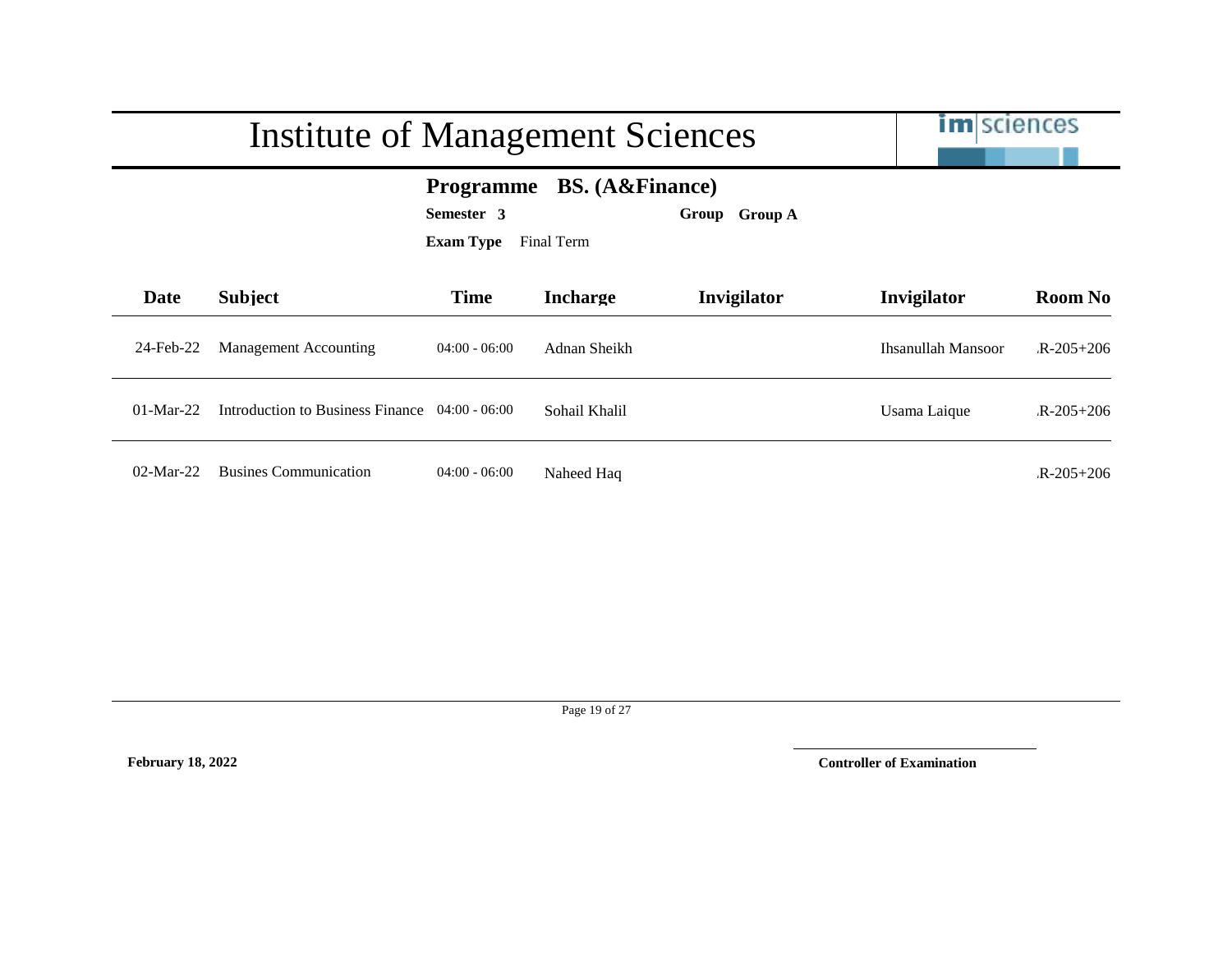|                                                                                                             | Institute of Management Sciences               | <b>im</b> sciences |                 |             |                    |                 |
|-------------------------------------------------------------------------------------------------------------|------------------------------------------------|--------------------|-----------------|-------------|--------------------|-----------------|
| <b>BS.</b> (A&Finance)<br><b>Programme</b><br>Semester 3<br>Group Group A<br><b>Exam Type</b><br>Final Term |                                                |                    |                 |             |                    |                 |
| <b>Date</b>                                                                                                 | <b>Subject</b>                                 | <b>Time</b>        | <b>Incharge</b> | Invigilator | Invigilator        | <b>Room No</b>  |
| 24-Feb-22                                                                                                   | <b>Management Accounting</b>                   | $04:00 - 06:00$    | Adnan Sheikh    |             | Ihsanullah Mansoor | $R - 205 + 206$ |
| $01-Mar-22$                                                                                                 | Introduction to Business Finance 04:00 - 06:00 |                    | Sohail Khalil   |             | Usama Laique       | $R - 205 + 206$ |
| $02-Mar-22$                                                                                                 | <b>Busines Communication</b>                   | $04:00 - 06:00$    | Naheed Haq      |             |                    | $R - 205 + 206$ |

Page 19 of 27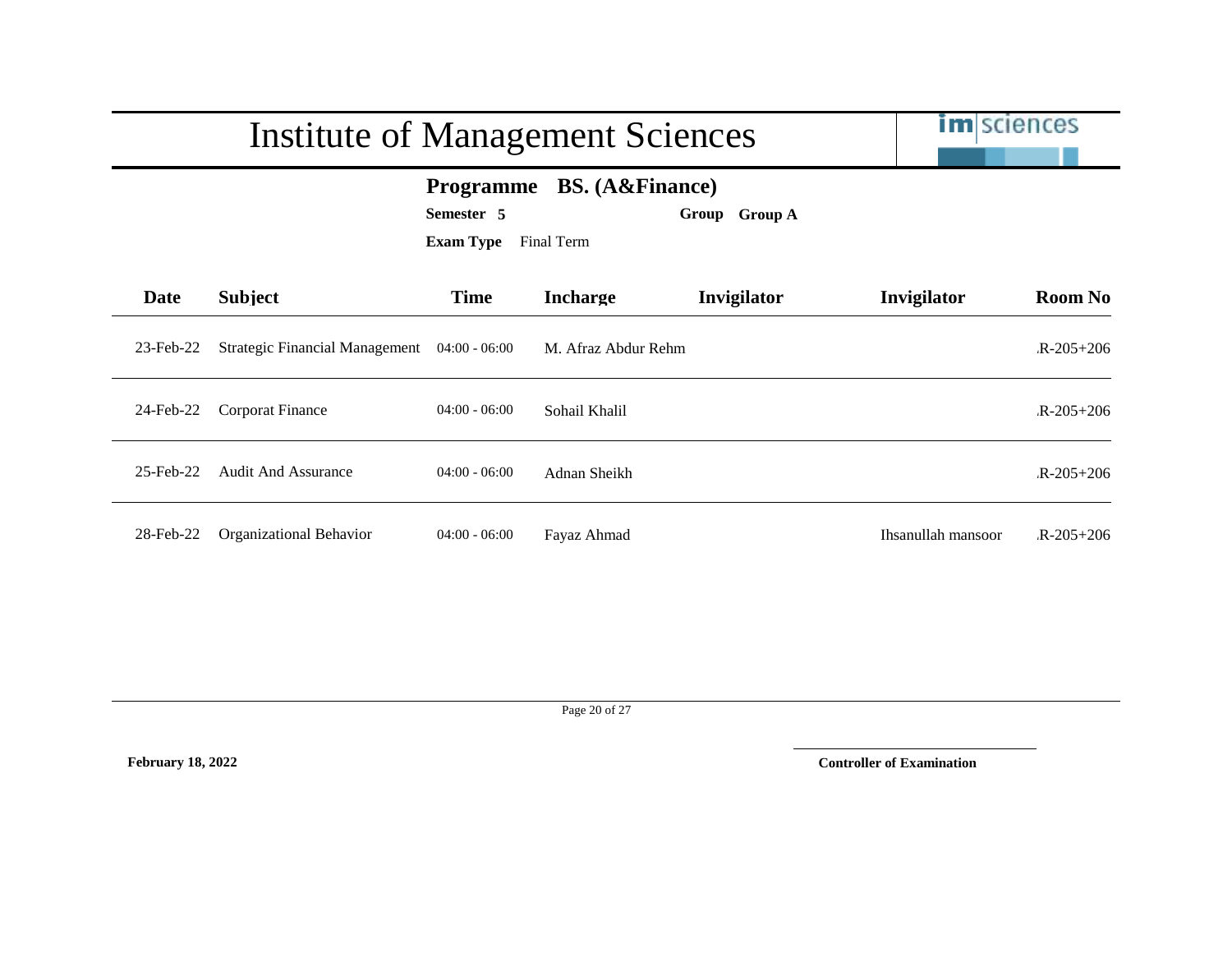|                                                                                                                       | <b>Institute of Management Sciences</b> | <b>im</b> sciences |                     |             |                    |                 |
|-----------------------------------------------------------------------------------------------------------------------|-----------------------------------------|--------------------|---------------------|-------------|--------------------|-----------------|
| <b>BS.</b> (A&Finance)<br><b>Programme</b><br>Semester 5<br><b>Group A</b><br>Group<br><b>Exam Type</b><br>Final Term |                                         |                    |                     |             |                    |                 |
| Date                                                                                                                  | <b>Subject</b>                          | <b>Time</b>        | <b>Incharge</b>     | Invigilator | Invigilator        | <b>Room No</b>  |
| 23-Feb-22                                                                                                             | <b>Strategic Financial Management</b>   | $04:00 - 06:00$    | M. Afraz Abdur Rehm |             |                    | $R-205+206$     |
| 24-Feb-22                                                                                                             | Corporat Finance                        | $04:00 - 06:00$    | Sohail Khalil       |             |                    | $R - 205 + 206$ |
| 25-Feb-22                                                                                                             | <b>Audit And Assurance</b>              | $04:00 - 06:00$    | Adnan Sheikh        |             |                    | $R - 205 + 206$ |
| 28-Feb-22                                                                                                             | Organizational Behavior                 | $04:00 - 06:00$    | Fayaz Ahmad         |             | Ihsanullah mansoor | $R - 205 + 206$ |

Page 20 of 27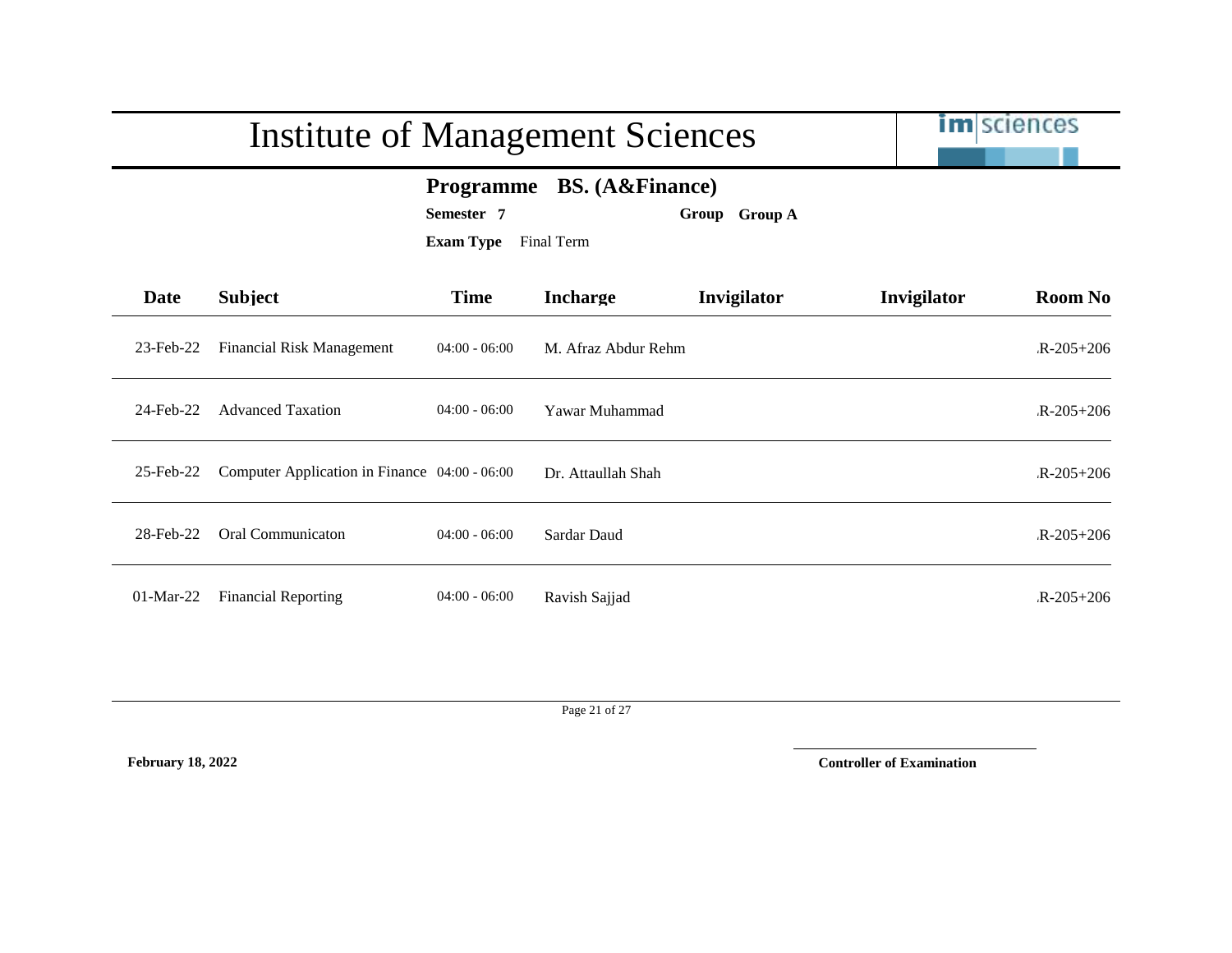|             | <b>Institute of Management Sciences</b>                                                 |                 |                     |             |             | <b>im</b> sciences |  |  |
|-------------|-----------------------------------------------------------------------------------------|-----------------|---------------------|-------------|-------------|--------------------|--|--|
|             | Programme BS. (A&Finance)<br>Semester 7<br>Group Group A<br><b>Exam Type</b> Final Term |                 |                     |             |             |                    |  |  |
| Date        | <b>Subject</b>                                                                          | <b>Time</b>     | <b>Incharge</b>     | Invigilator | Invigilator | <b>Room No</b>     |  |  |
| 23-Feb-22   | <b>Financial Risk Management</b>                                                        | $04:00 - 06:00$ | M. Afraz Abdur Rehm |             |             | $R-205+206$        |  |  |
| 24-Feb-22   | <b>Advanced Taxation</b>                                                                | $04:00 - 06:00$ | Yawar Muhammad      |             |             | $R - 205 + 206$    |  |  |
| 25-Feb-22   | Computer Application in Finance 04:00 - 06:00                                           |                 | Dr. Attaullah Shah  |             |             | $R - 205 + 206$    |  |  |
| 28-Feb-22   | Oral Communicaton                                                                       | $04:00 - 06:00$ | Sardar Daud         |             |             | $R - 205 + 206$    |  |  |
| $01-Mar-22$ | <b>Financial Reporting</b>                                                              | $04:00 - 06:00$ | Ravish Sajjad       |             |             | $R - 205 + 206$    |  |  |

Page 21 of 27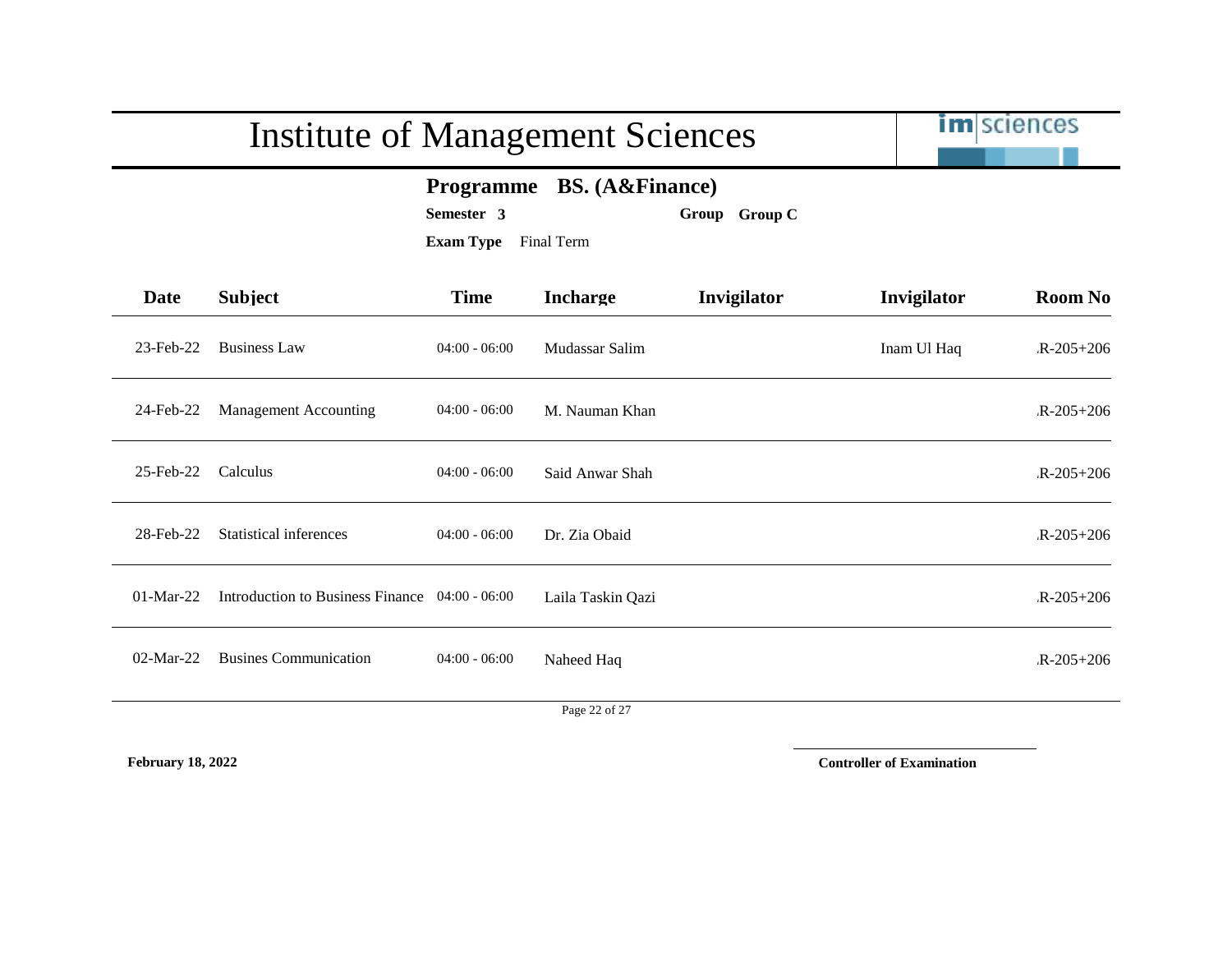|             | <b>Institute of Management Sciences</b>                                                 | im sciences     |                   |             |             |                 |  |  |  |
|-------------|-----------------------------------------------------------------------------------------|-----------------|-------------------|-------------|-------------|-----------------|--|--|--|
|             | Programme BS. (A&Finance)<br>Semester 3<br>Group Group C<br><b>Exam Type</b> Final Term |                 |                   |             |             |                 |  |  |  |
| <b>Date</b> | <b>Subject</b>                                                                          | <b>Time</b>     | <b>Incharge</b>   | Invigilator | Invigilator | <b>Room No</b>  |  |  |  |
| 23-Feb-22   | <b>Business Law</b>                                                                     | $04:00 - 06:00$ | Mudassar Salim    |             | Inam Ul Haq | $R-205+206$     |  |  |  |
| 24-Feb-22   | <b>Management Accounting</b>                                                            | $04:00 - 06:00$ | M. Nauman Khan    |             |             | $R-205+206$     |  |  |  |
| 25-Feb-22   | Calculus                                                                                | $04:00 - 06:00$ | Said Anwar Shah   |             |             | $R-205+206$     |  |  |  |
| 28-Feb-22   | <b>Statistical inferences</b>                                                           | $04:00 - 06:00$ | Dr. Zia Obaid     |             |             | $R-205+206$     |  |  |  |
| $01-Mar-22$ | Introduction to Business Finance 04:00 - 06:00                                          |                 | Laila Taskin Qazi |             |             | $R - 205 + 206$ |  |  |  |
| 02-Mar-22   | <b>Busines Communication</b>                                                            | $04:00 - 06:00$ | Naheed Haq        |             |             | $R-205+206$     |  |  |  |
|             |                                                                                         |                 | Page 22 of 27     |             |             |                 |  |  |  |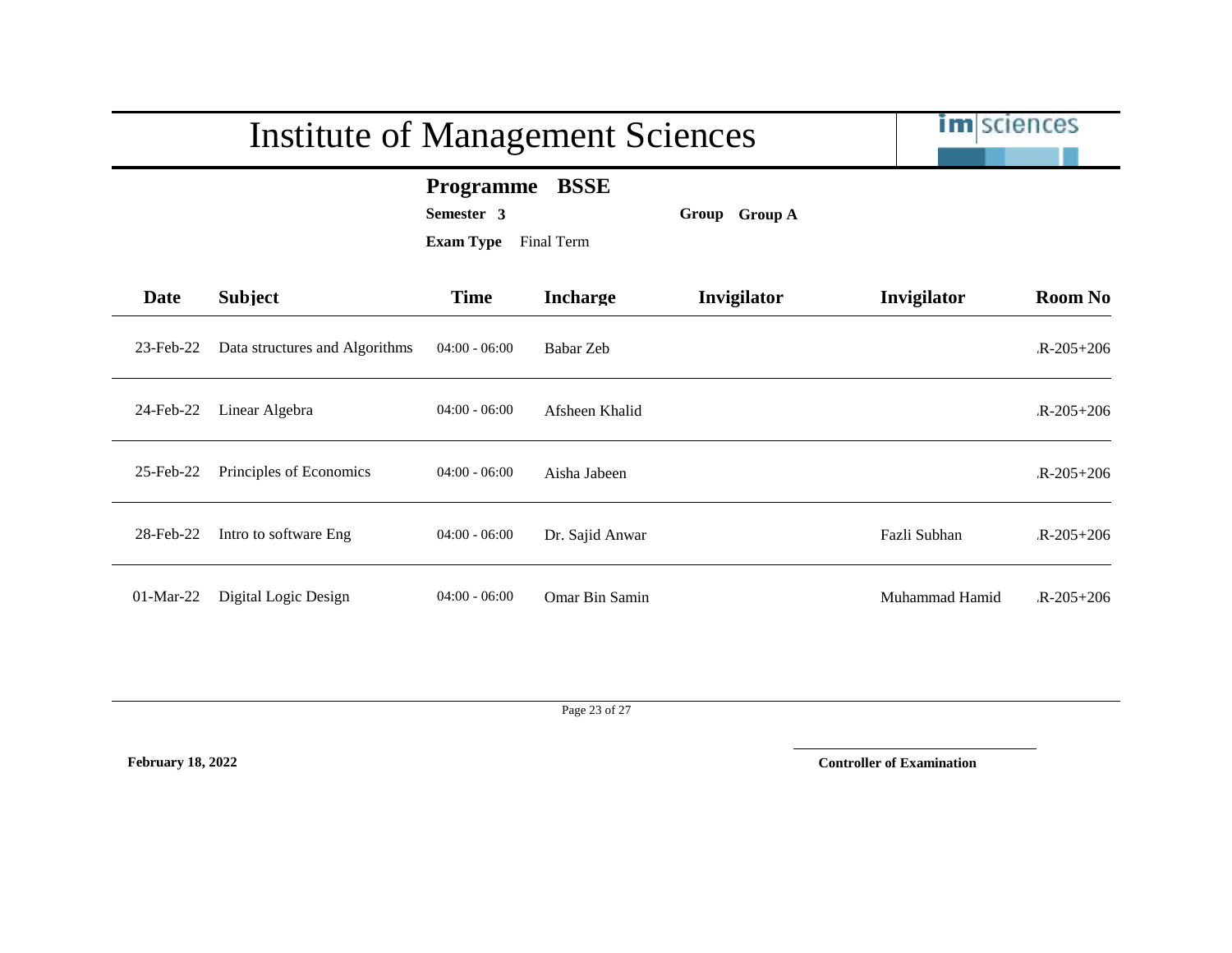|             | <b>Institute of Management Sciences</b> | <b>im</b> sciences                                 |                           |               |                |                 |
|-------------|-----------------------------------------|----------------------------------------------------|---------------------------|---------------|----------------|-----------------|
|             |                                         | <b>Programme</b><br>Semester 3<br><b>Exam Type</b> | <b>BSSE</b><br>Final Term | Group Group A |                |                 |
| Date        | <b>Subject</b>                          | <b>Time</b>                                        | <b>Incharge</b>           | Invigilator   | Invigilator    | <b>Room No</b>  |
| 23-Feb-22   | Data structures and Algorithms          | $04:00 - 06:00$                                    | Babar Zeb                 |               |                | $R-205+206$     |
| 24-Feb-22   | Linear Algebra                          | $04:00 - 06:00$                                    | Afsheen Khalid            |               |                | $R-205+206$     |
| 25-Feb-22   | Principles of Economics                 | $04:00 - 06:00$                                    | Aisha Jabeen              |               |                | $R - 205 + 206$ |
| 28-Feb-22   | Intro to software Eng                   | $04:00 - 06:00$                                    | Dr. Sajid Anwar           |               | Fazli Subhan   | $R - 205 + 206$ |
| $01-Mar-22$ | Digital Logic Design                    | $04:00 - 06:00$                                    | Omar Bin Samin            |               | Muhammad Hamid | $R - 205 + 206$ |

Page 23 of 27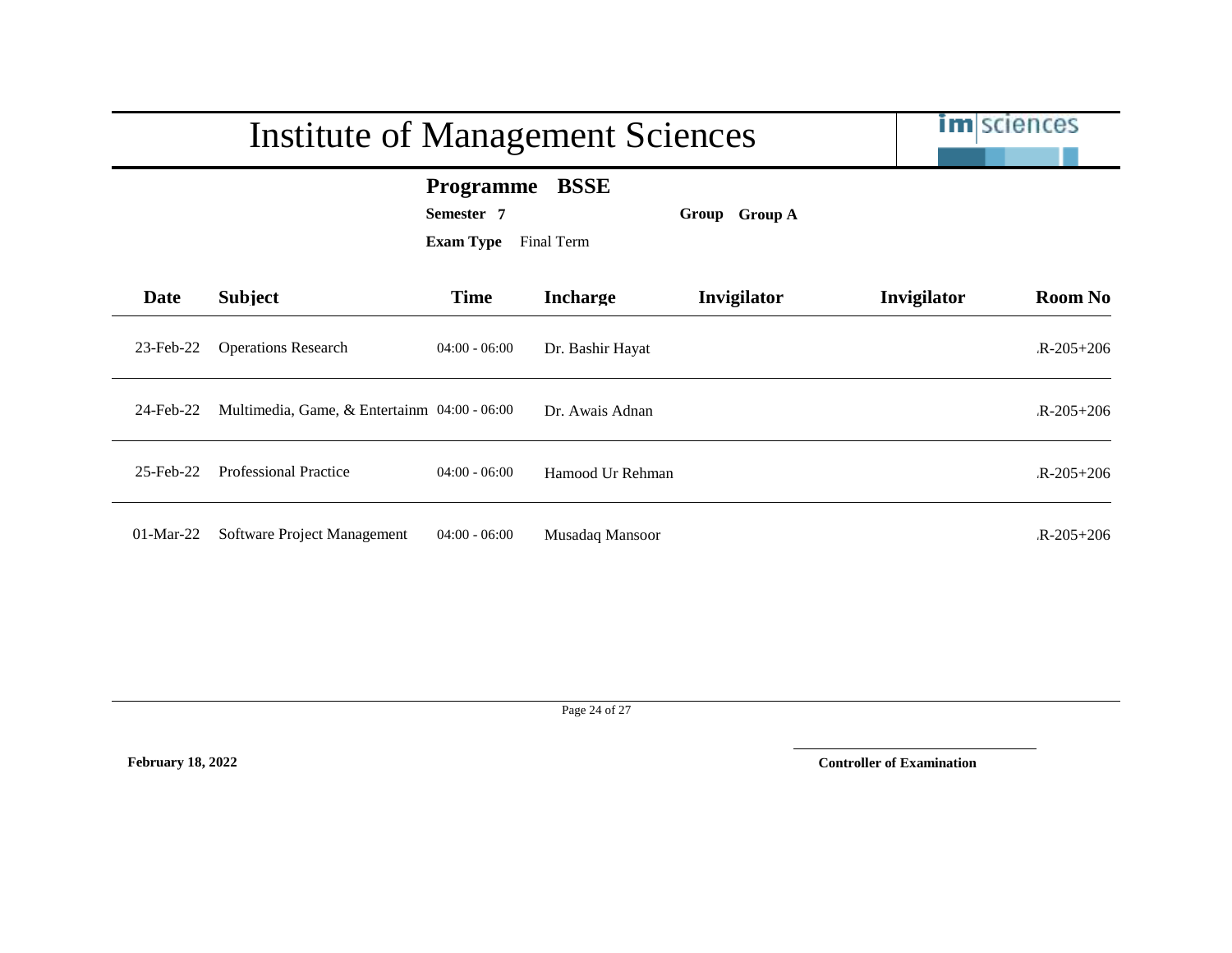|             | <b>Institute of Management Sciences</b>      | <b>im</b> sciences                                 |                           |                         |             |                 |
|-------------|----------------------------------------------|----------------------------------------------------|---------------------------|-------------------------|-------------|-----------------|
|             |                                              | <b>Programme</b><br>Semester 7<br><b>Exam Type</b> | <b>BSSE</b><br>Final Term | <b>Group A</b><br>Group |             |                 |
| Date        | <b>Subject</b>                               | <b>Time</b>                                        | <b>Incharge</b>           | Invigilator             | Invigilator | <b>Room No</b>  |
| 23-Feb-22   | <b>Operations Research</b>                   | $04:00 - 06:00$                                    | Dr. Bashir Hayat          |                         |             | $R - 205 + 206$ |
| 24-Feb-22   | Multimedia, Game, & Entertainm 04:00 - 06:00 |                                                    | Dr. Awais Adnan           |                         |             | $R - 205 + 206$ |
| 25-Feb-22   | <b>Professional Practice</b>                 | $04:00 - 06:00$                                    | Hamood Ur Rehman          |                         |             | $R - 205 + 206$ |
| $01-Mar-22$ | Software Project Management                  | $04:00 - 06:00$                                    | Musadaq Mansoor           |                         |             | $R - 205 + 206$ |

Page 24 of 27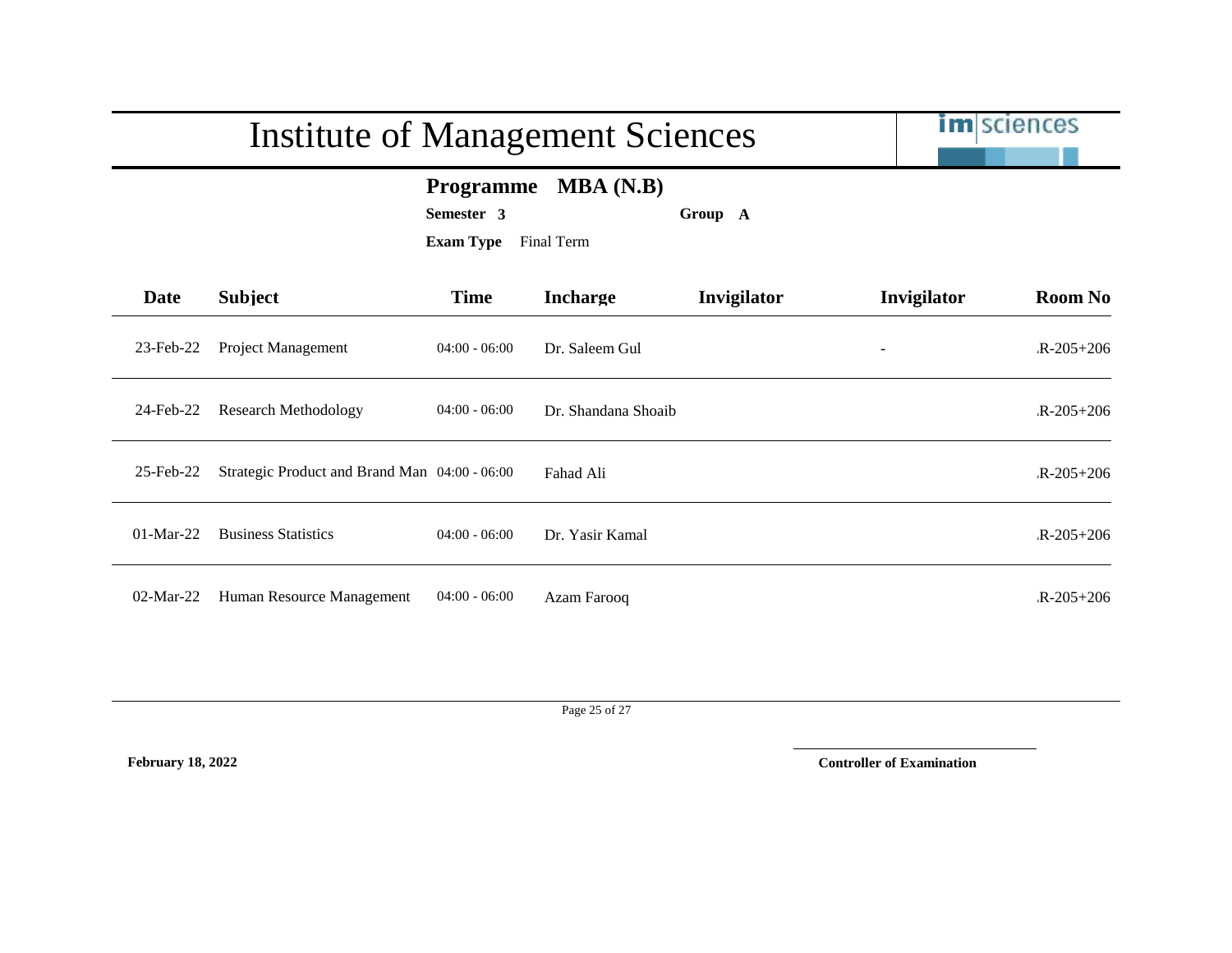| <b>Institute of Management Sciences</b>                                        |                                               |                 |                     |             | <b>im</b> sciences |                 |  |
|--------------------------------------------------------------------------------|-----------------------------------------------|-----------------|---------------------|-------------|--------------------|-----------------|--|
| Programme MBA (N.B)<br>Semester 3<br>Group A<br><b>Exam Type</b><br>Final Term |                                               |                 |                     |             |                    |                 |  |
| Date                                                                           | <b>Subject</b>                                | <b>Time</b>     | <b>Incharge</b>     | Invigilator | Invigilator        | <b>Room No</b>  |  |
| 23-Feb-22                                                                      | Project Management                            | $04:00 - 06:00$ | Dr. Saleem Gul      |             |                    | $R - 205 + 206$ |  |
| 24-Feb-22                                                                      | <b>Research Methodology</b>                   | $04:00 - 06:00$ | Dr. Shandana Shoaib |             |                    | $R - 205 + 206$ |  |
| 25-Feb-22                                                                      | Strategic Product and Brand Man 04:00 - 06:00 |                 | Fahad Ali           |             |                    | $R-205+206$     |  |
| $01-Mar-22$                                                                    | <b>Business Statistics</b>                    | $04:00 - 06:00$ | Dr. Yasir Kamal     |             |                    | $R - 205 + 206$ |  |
| $02$ -Mar-22                                                                   | Human Resource Management                     | $04:00 - 06:00$ | Azam Farooq         |             |                    | $R - 205 + 206$ |  |

Page 25 of 27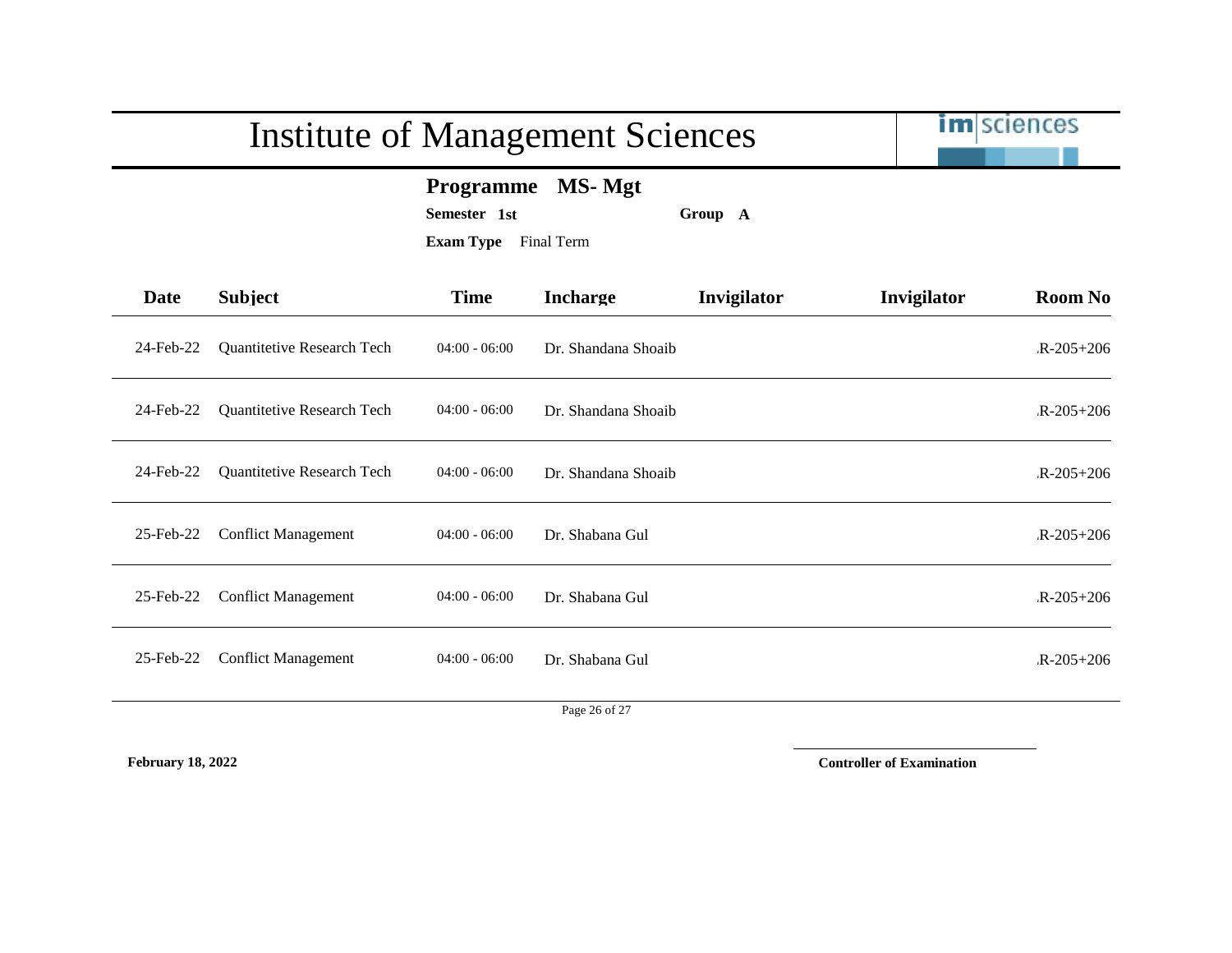|                                                                                      | <b>Institute of Management Sciences</b> |                     |             |             |                 |  |  |
|--------------------------------------------------------------------------------------|-----------------------------------------|---------------------|-------------|-------------|-----------------|--|--|
| MS-Mgt<br><b>Programme</b><br>Semester 1st<br>Group A<br><b>Exam Type</b> Final Term |                                         |                     |             |             |                 |  |  |
| <b>Subject</b>                                                                       | <b>Time</b>                             | <b>Incharge</b>     | Invigilator | Invigilator | <b>Room No</b>  |  |  |
| Quantitetive Research Tech                                                           | $04:00 - 06:00$                         | Dr. Shandana Shoaib |             |             | $R - 205 + 206$ |  |  |
| Quantitetive Research Tech                                                           | $04:00 - 06:00$                         | Dr. Shandana Shoaib |             |             | $R - 205 + 206$ |  |  |
| Quantitetive Research Tech                                                           | $04:00 - 06:00$                         | Dr. Shandana Shoaib |             |             | $R-205+206$     |  |  |
| <b>Conflict Management</b>                                                           | $04:00 - 06:00$                         | Dr. Shabana Gul     |             |             | $R - 205 + 206$ |  |  |
| <b>Conflict Management</b>                                                           | $04:00 - 06:00$                         | Dr. Shabana Gul     |             |             | $R-205+206$     |  |  |
| <b>Conflict Management</b>                                                           | $04:00 - 06:00$                         | Dr. Shabana Gul     |             |             | $R-205+206$     |  |  |
|                                                                                      |                                         |                     |             |             |                 |  |  |

Page 26 of 27